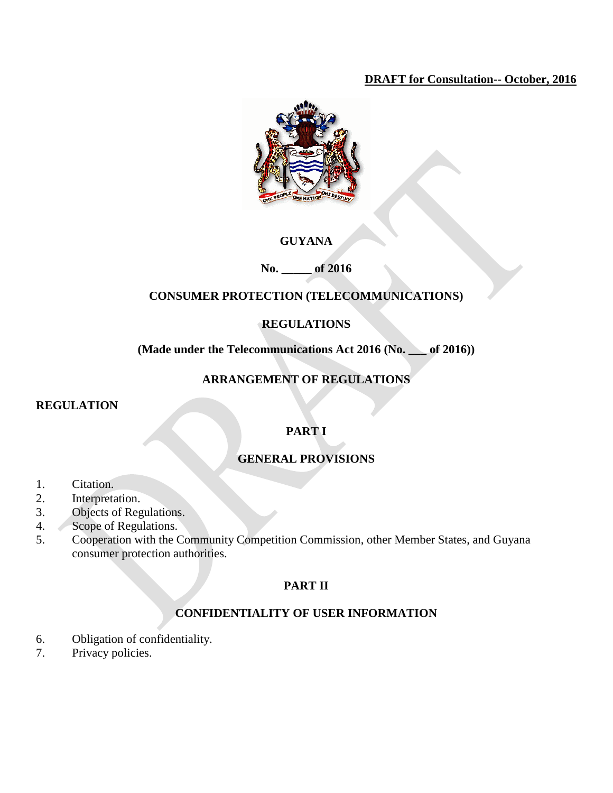## **DRAFT for Consultation-- October, 2016**



## **GUYANA**

## **No. \_\_\_\_\_ of 2016**

## **CONSUMER PROTECTION (TELECOMMUNICATIONS)**

## **REGULATIONS**

## **(Made under the Telecommunications Act 2016 (No. \_\_\_ of 2016))**

## **ARRANGEMENT OF REGULATIONS**

#### **REGULATION**

## **PART I**

## **GENERAL PROVISIONS**

- 1. Citation.
- 2. Interpretation.
- 3. Objects of Regulations.
- 4. Scope of Regulations.
- 5. Cooperation with the Community Competition Commission, other Member States, and Guyana consumer protection authorities.

## **PART II**

## **CONFIDENTIALITY OF USER INFORMATION**

- 6. Obligation of confidentiality.
- 7. Privacy policies.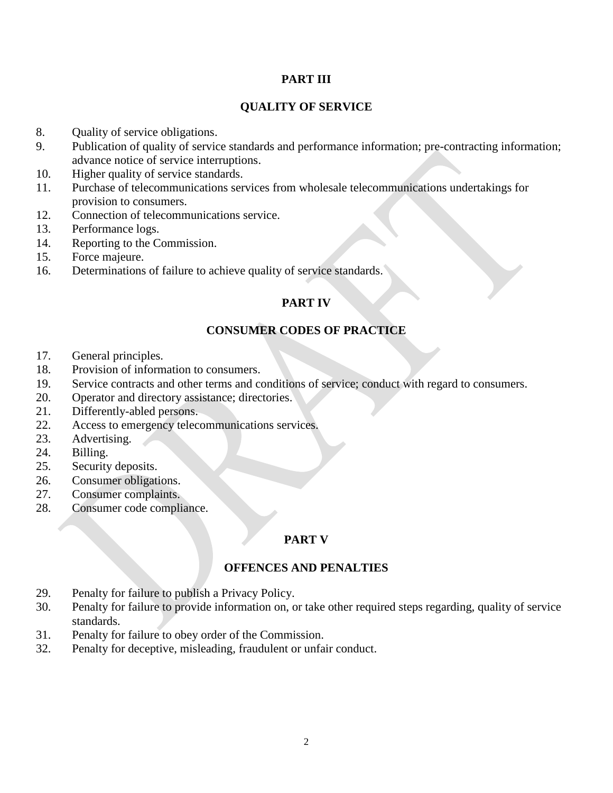#### **PART III**

#### **QUALITY OF SERVICE**

- 8. Quality of service obligations.
- 9. Publication of quality of service standards and performance information; pre-contracting information; advance notice of service interruptions.
- 10. Higher quality of service standards.
- 11. Purchase of telecommunications services from wholesale telecommunications undertakings for provision to consumers.
- 12. Connection of telecommunications service.
- 13. Performance logs.
- 14. Reporting to the Commission.
- 15. Force majeure.
- 16. Determinations of failure to achieve quality of service standards.

## **PART IV**

#### **CONSUMER CODES OF PRACTICE**

- 17. General principles.
- 18. Provision of information to consumers.
- 19. Service contracts and other terms and conditions of service; conduct with regard to consumers.
- 20. Operator and directory assistance; directories.
- 21. Differently-abled persons.
- 22. Access to emergency telecommunications services.
- 23. Advertising.
- 24. Billing.
- 25. Security deposits.
- 26. Consumer obligations.
- 27. Consumer complaints.
- 28. Consumer code compliance.

## **PART V**

#### **OFFENCES AND PENALTIES**

- 29. Penalty for failure to publish a Privacy Policy.
- 30. Penalty for failure to provide information on, or take other required steps regarding, quality of service standards.
- 31. Penalty for failure to obey order of the Commission.
- 32. Penalty for deceptive, misleading, fraudulent or unfair conduct.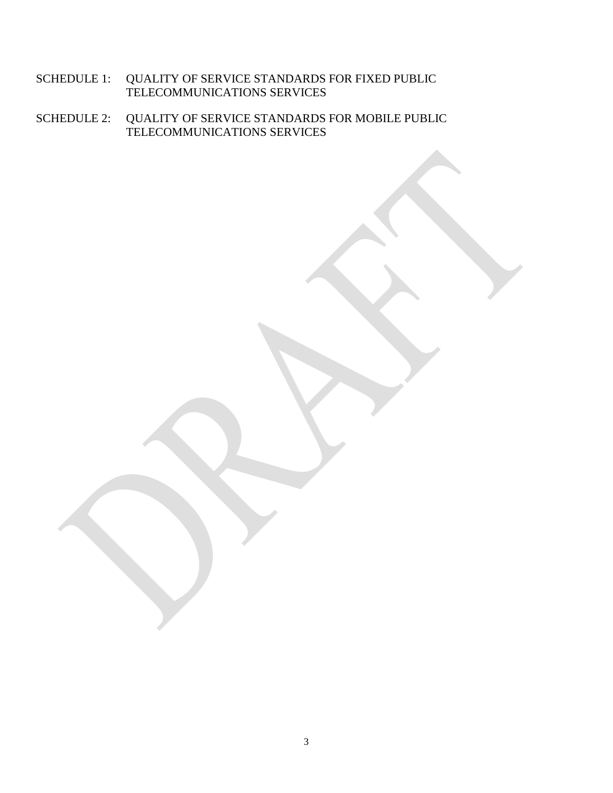- SCHEDULE 1: QUALITY OF SERVICE STANDARDS FOR FIXED PUBLIC TELECOMMUNICATIONS SERVICES
- SCHEDULE 2: QUALITY OF SERVICE STANDARDS FOR MOBILE PUBLIC TELECOMMUNICATIONS SERVICES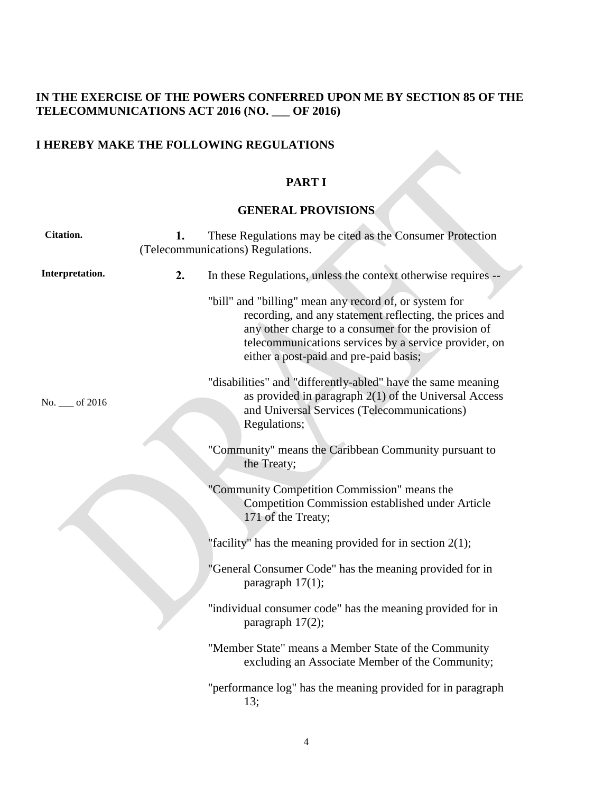## **IN THE EXERCISE OF THE POWERS CONFERRED UPON ME BY SECTION 85 OF THE TELECOMMUNICATIONS ACT 2016 (NO. \_\_\_ OF 2016)**

## **I HEREBY MAKE THE FOLLOWING REGULATIONS**

## **PART I**

### **GENERAL PROVISIONS**

| <b>Citation.</b> | 1. | These Regulations may be cited as the Consumer Protection<br>(Telecommunications) Regulations.                                                                                                                                                                              |
|------------------|----|-----------------------------------------------------------------------------------------------------------------------------------------------------------------------------------------------------------------------------------------------------------------------------|
| Interpretation.  | 2. | In these Regulations, unless the context otherwise requires --                                                                                                                                                                                                              |
|                  |    | "bill" and "billing" mean any record of, or system for<br>recording, and any statement reflecting, the prices and<br>any other charge to a consumer for the provision of<br>telecommunications services by a service provider, on<br>either a post-paid and pre-paid basis; |
| No. __ of 2016   |    | "disabilities" and "differently-abled" have the same meaning<br>as provided in paragraph 2(1) of the Universal Access<br>and Universal Services (Telecommunications)<br>Regulations;                                                                                        |
|                  |    | "Community" means the Caribbean Community pursuant to<br>the Treaty;                                                                                                                                                                                                        |
|                  |    | "Community Competition Commission" means the<br><b>Competition Commission established under Article</b><br>171 of the Treaty;                                                                                                                                               |
|                  |    | "facility" has the meaning provided for in section $2(1)$ ;                                                                                                                                                                                                                 |
|                  |    | "General Consumer Code" has the meaning provided for in<br>paragraph $17(1)$ ;                                                                                                                                                                                              |
|                  |    | "individual consumer code" has the meaning provided for in<br>paragraph 17(2);                                                                                                                                                                                              |
|                  |    | "Member State" means a Member State of the Community<br>excluding an Associate Member of the Community;                                                                                                                                                                     |
|                  |    | "performance log" has the meaning provided for in paragraph<br>13;                                                                                                                                                                                                          |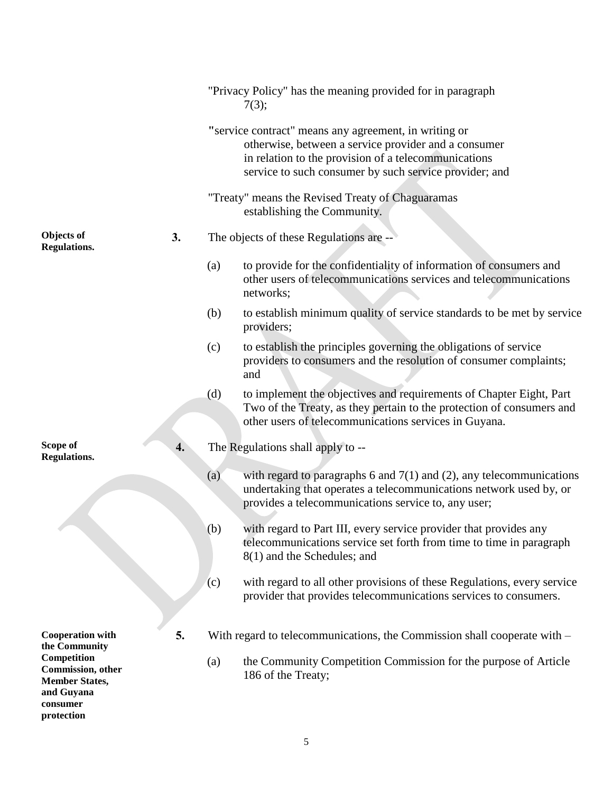|                                                                                                   |    | "Privacy Policy" has the meaning provided for in paragraph<br>7(3);                                                                                                                                                             |
|---------------------------------------------------------------------------------------------------|----|---------------------------------------------------------------------------------------------------------------------------------------------------------------------------------------------------------------------------------|
|                                                                                                   |    | "service contract" means any agreement, in writing or<br>otherwise, between a service provider and a consumer<br>in relation to the provision of a telecommunications<br>service to such consumer by such service provider; and |
|                                                                                                   |    | "Treaty" means the Revised Treaty of Chaguaramas<br>establishing the Community.                                                                                                                                                 |
| Objects of<br><b>Regulations.</b>                                                                 | 3. | The objects of these Regulations are --                                                                                                                                                                                         |
|                                                                                                   |    | to provide for the confidentiality of information of consumers and<br>(a)<br>other users of telecommunications services and telecommunications<br>networks;                                                                     |
|                                                                                                   |    | to establish minimum quality of service standards to be met by service<br>(b)<br>providers;                                                                                                                                     |
|                                                                                                   |    | to establish the principles governing the obligations of service<br>(c)<br>providers to consumers and the resolution of consumer complaints;<br>and                                                                             |
|                                                                                                   |    | to implement the objectives and requirements of Chapter Eight, Part<br>(d)<br>Two of the Treaty, as they pertain to the protection of consumers and<br>other users of telecommunications services in Guyana.                    |
| Scope of<br><b>Regulations.</b>                                                                   | 4. | The Regulations shall apply to --                                                                                                                                                                                               |
|                                                                                                   |    | with regard to paragraphs 6 and $7(1)$ and (2), any telecommunications<br>(a)<br>undertaking that operates a telecommunications network used by, or<br>provides a telecommunications service to, any user;                      |
|                                                                                                   |    | with regard to Part III, every service provider that provides any<br>(b)<br>telecommunications service set forth from time to time in paragraph<br>8(1) and the Schedules; and                                                  |
|                                                                                                   |    | with regard to all other provisions of these Regulations, every service<br>(c)<br>provider that provides telecommunications services to consumers.                                                                              |
| <b>Cooperation with</b><br>the Community                                                          | 5. | With regard to telecommunications, the Commission shall cooperate with $-$                                                                                                                                                      |
| Competition<br>Commission, other<br><b>Member States,</b><br>and Guyana<br>consumer<br>protection |    | the Community Competition Commission for the purpose of Article<br>(a)<br>186 of the Treaty;                                                                                                                                    |
|                                                                                                   |    |                                                                                                                                                                                                                                 |

5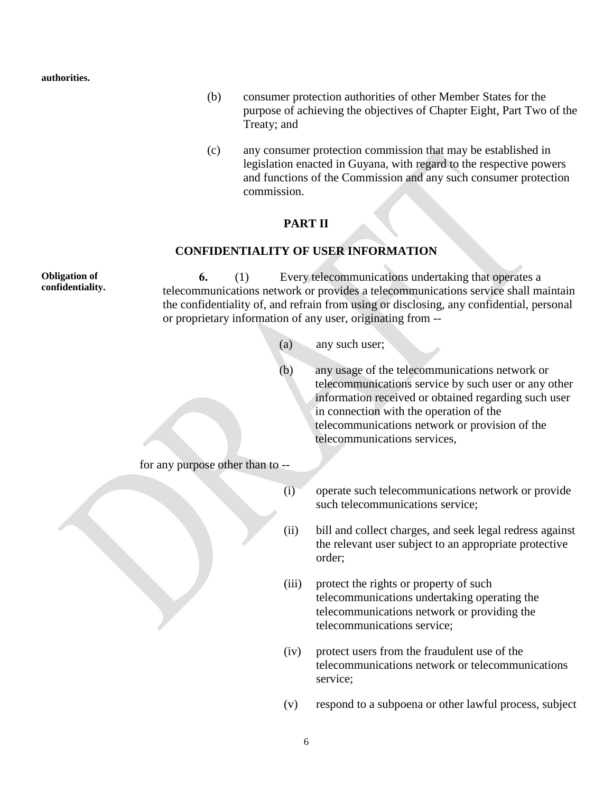**authorities.**

- (b) consumer protection authorities of other Member States for the purpose of achieving the objectives of Chapter Eight, Part Two of the Treaty; and
- (c) any consumer protection commission that may be established in legislation enacted in Guyana, with regard to the respective powers and functions of the Commission and any such consumer protection commission.

#### **PART II**

#### **CONFIDENTIALITY OF USER INFORMATION**

**Obligation of confidentiality. 6.** (1) Every telecommunications undertaking that operates a telecommunications network or provides a telecommunications service shall maintain the confidentiality of, and refrain from using or disclosing, any confidential, personal or proprietary information of any user, originating from -- (a) any such user; (b) any usage of the telecommunications network or telecommunications service by such user or any other information received or obtained regarding such user in connection with the operation of the telecommunications network or provision of the telecommunications services, for any purpose other than to -- (i) operate such telecommunications network or provide such telecommunications service; (ii) bill and collect charges, and seek legal redress against the relevant user subject to an appropriate protective order; (iii) protect the rights or property of such telecommunications undertaking operating the telecommunications network or providing the telecommunications service; (iv) protect users from the fraudulent use of the telecommunications network or telecommunications

(v) respond to a subpoena or other lawful process, subject

service;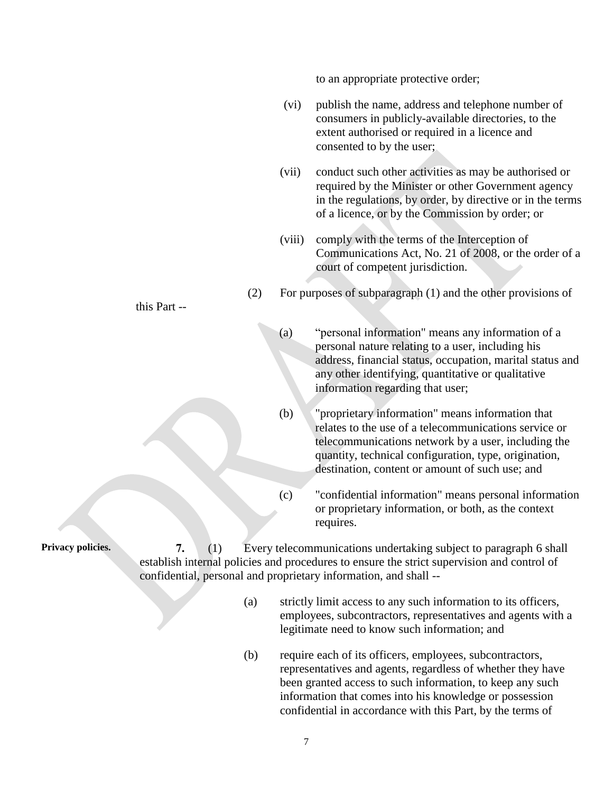to an appropriate protective order;

- (vi) publish the name, address and telephone number of consumers in publicly-available directories, to the extent authorised or required in a licence and consented to by the user;
- (vii) conduct such other activities as may be authorised or required by the Minister or other Government agency in the regulations, by order, by directive or in the terms of a licence, or by the Commission by order; or
- (viii) comply with the terms of the Interception of Communications Act, No. 21 of 2008, or the order of a court of competent jurisdiction.

(2) For purposes of subparagraph (1) and the other provisions of

- (a) "personal information" means any information of a personal nature relating to a user, including his address, financial status, occupation, marital status and any other identifying, quantitative or qualitative information regarding that user;
- (b) "proprietary information" means information that relates to the use of a telecommunications service or telecommunications network by a user, including the quantity, technical configuration, type, origination, destination, content or amount of such use; and
- (c) "confidential information" means personal information or proprietary information, or both, as the context requires.

**Privacy policies. 7.** (1) Every telecommunications undertaking subject to paragraph 6 shall establish internal policies and procedures to ensure the strict supervision and control of confidential, personal and proprietary information, and shall --

- (a) strictly limit access to any such information to its officers, employees, subcontractors, representatives and agents with a legitimate need to know such information; and
- (b) require each of its officers, employees, subcontractors, representatives and agents, regardless of whether they have been granted access to such information, to keep any such information that comes into his knowledge or possession confidential in accordance with this Part, by the terms of

this Part --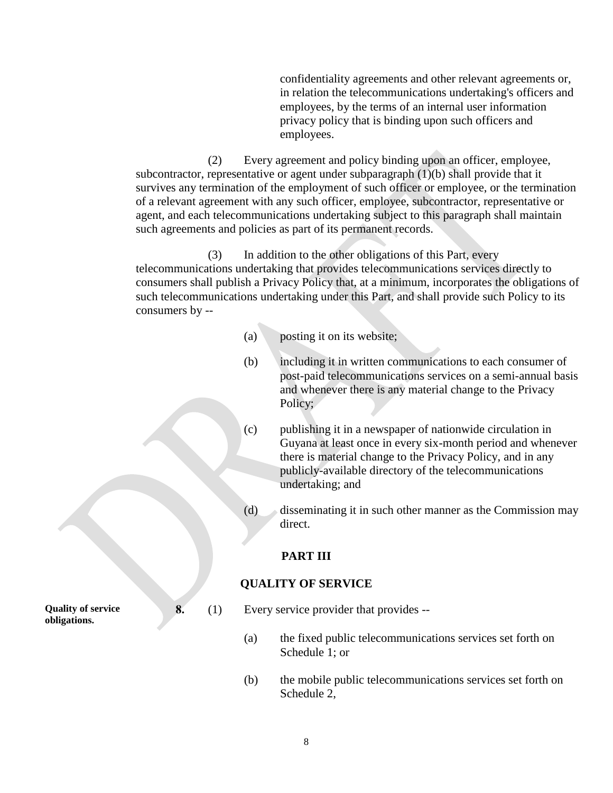confidentiality agreements and other relevant agreements or, in relation the telecommunications undertaking's officers and employees, by the terms of an internal user information privacy policy that is binding upon such officers and employees.

(2) Every agreement and policy binding upon an officer, employee, subcontractor, representative or agent under subparagraph (1)(b) shall provide that it survives any termination of the employment of such officer or employee, or the termination of a relevant agreement with any such officer, employee, subcontractor, representative or agent, and each telecommunications undertaking subject to this paragraph shall maintain such agreements and policies as part of its permanent records.

(3) In addition to the other obligations of this Part, every telecommunications undertaking that provides telecommunications services directly to consumers shall publish a Privacy Policy that, at a minimum, incorporates the obligations of such telecommunications undertaking under this Part, and shall provide such Policy to its consumers by --

- (a) posting it on its website;
- (b) including it in written communications to each consumer of post-paid telecommunications services on a semi-annual basis and whenever there is any material change to the Privacy Policy;
- (c) publishing it in a newspaper of nationwide circulation in Guyana at least once in every six-month period and whenever there is material change to the Privacy Policy, and in any publicly-available directory of the telecommunications undertaking; and
- (d) disseminating it in such other manner as the Commission may direct.

## **PART III**

## **QUALITY OF SERVICE**

- **8.** (1) Every service provider that provides --
	- (a) the fixed public telecommunications services set forth on Schedule 1; or
	- (b) the mobile public telecommunications services set forth on Schedule 2,

**Quality of service obligations.**

8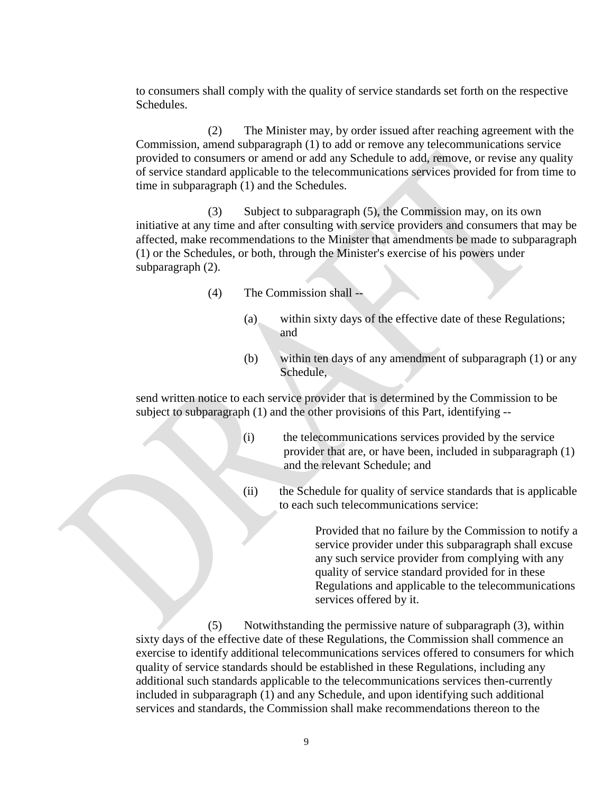to consumers shall comply with the quality of service standards set forth on the respective Schedules.

(2) The Minister may, by order issued after reaching agreement with the Commission, amend subparagraph (1) to add or remove any telecommunications service provided to consumers or amend or add any Schedule to add, remove, or revise any quality of service standard applicable to the telecommunications services provided for from time to time in subparagraph (1) and the Schedules.

(3) Subject to subparagraph (5), the Commission may, on its own initiative at any time and after consulting with service providers and consumers that may be affected, make recommendations to the Minister that amendments be made to subparagraph (1) or the Schedules, or both, through the Minister's exercise of his powers under subparagraph (2).

- (4) The Commission shall --
	- (a) within sixty days of the effective date of these Regulations; and
	- (b) within ten days of any amendment of subparagraph (1) or any Schedule,

send written notice to each service provider that is determined by the Commission to be subject to subparagraph (1) and the other provisions of this Part, identifying --

- (i) the telecommunications services provided by the service provider that are, or have been, included in subparagraph (1) and the relevant Schedule; and
- (ii) the Schedule for quality of service standards that is applicable to each such telecommunications service:

Provided that no failure by the Commission to notify a service provider under this subparagraph shall excuse any such service provider from complying with any quality of service standard provided for in these Regulations and applicable to the telecommunications services offered by it.

(5) Notwithstanding the permissive nature of subparagraph (3), within sixty days of the effective date of these Regulations, the Commission shall commence an exercise to identify additional telecommunications services offered to consumers for which quality of service standards should be established in these Regulations, including any additional such standards applicable to the telecommunications services then-currently included in subparagraph (1) and any Schedule, and upon identifying such additional services and standards, the Commission shall make recommendations thereon to the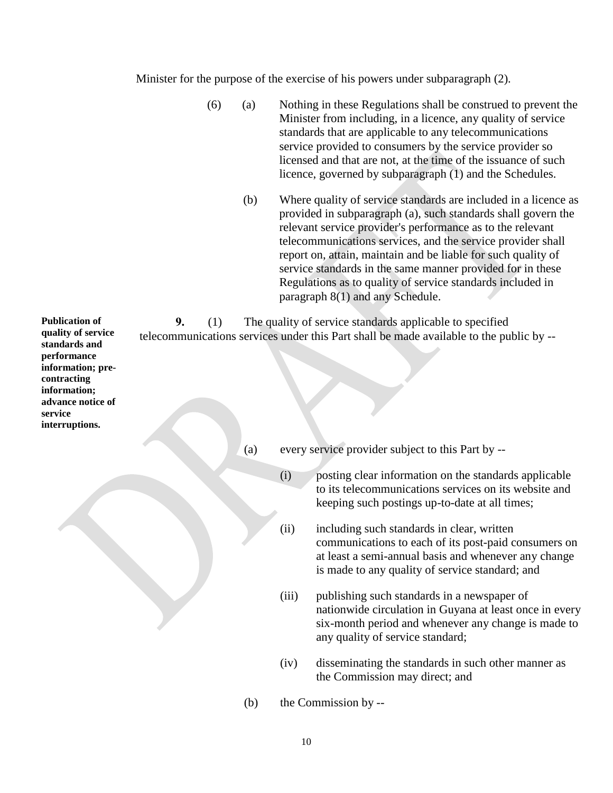Minister for the purpose of the exercise of his powers under subparagraph (2).

- (6) (a) Nothing in these Regulations shall be construed to prevent the Minister from including, in a licence, any quality of service standards that are applicable to any telecommunications service provided to consumers by the service provider so licensed and that are not, at the time of the issuance of such licence, governed by subparagraph (1) and the Schedules.
	- (b) Where quality of service standards are included in a licence as provided in subparagraph (a), such standards shall govern the relevant service provider's performance as to the relevant telecommunications services, and the service provider shall report on, attain, maintain and be liable for such quality of service standards in the same manner provided for in these Regulations as to quality of service standards included in paragraph 8(1) and any Schedule.

**9.** (1) The quality of service standards applicable to specified telecommunications services under this Part shall be made available to the public by --

(a) every service provider subject to this Part by --

- (i) posting clear information on the standards applicable to its telecommunications services on its website and keeping such postings up-to-date at all times;
- (ii) including such standards in clear, written communications to each of its post-paid consumers on at least a semi-annual basis and whenever any change is made to any quality of service standard; and
- (iii) publishing such standards in a newspaper of nationwide circulation in Guyana at least once in every six-month period and whenever any change is made to any quality of service standard;
- (iv) disseminating the standards in such other manner as the Commission may direct; and
- (b) the Commission by --

**Publication of quality of service standards and performance information; precontracting information; advance notice of service interruptions.**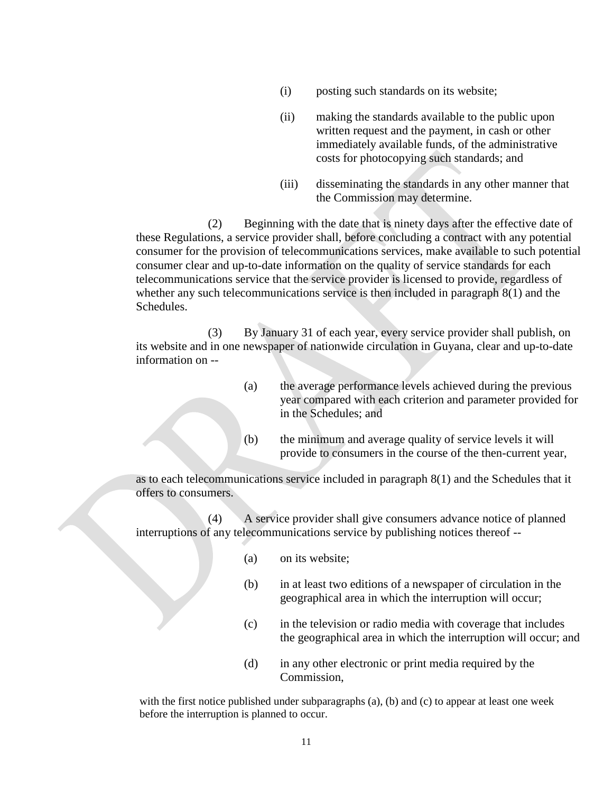- (i) posting such standards on its website;
- (ii) making the standards available to the public upon written request and the payment, in cash or other immediately available funds, of the administrative costs for photocopying such standards; and
- (iii) disseminating the standards in any other manner that the Commission may determine.

(2) Beginning with the date that is ninety days after the effective date of these Regulations, a service provider shall, before concluding a contract with any potential consumer for the provision of telecommunications services, make available to such potential consumer clear and up-to-date information on the quality of service standards for each telecommunications service that the service provider is licensed to provide, regardless of whether any such telecommunications service is then included in paragraph 8(1) and the Schedules.

(3) By January 31 of each year, every service provider shall publish, on its website and in one newspaper of nationwide circulation in Guyana, clear and up-to-date information on --

| (a) | the average performance levels achieved during the previous  |
|-----|--------------------------------------------------------------|
|     | year compared with each criterion and parameter provided for |
|     | in the Schedules; and                                        |

(b) the minimum and average quality of service levels it will provide to consumers in the course of the then-current year,

as to each telecommunications service included in paragraph 8(1) and the Schedules that it offers to consumers.

(4) A service provider shall give consumers advance notice of planned interruptions of any telecommunications service by publishing notices thereof --

- (a) on its website;
- (b) in at least two editions of a newspaper of circulation in the geographical area in which the interruption will occur;
- (c) in the television or radio media with coverage that includes the geographical area in which the interruption will occur; and
- (d) in any other electronic or print media required by the Commission,

with the first notice published under subparagraphs (a), (b) and (c) to appear at least one week before the interruption is planned to occur.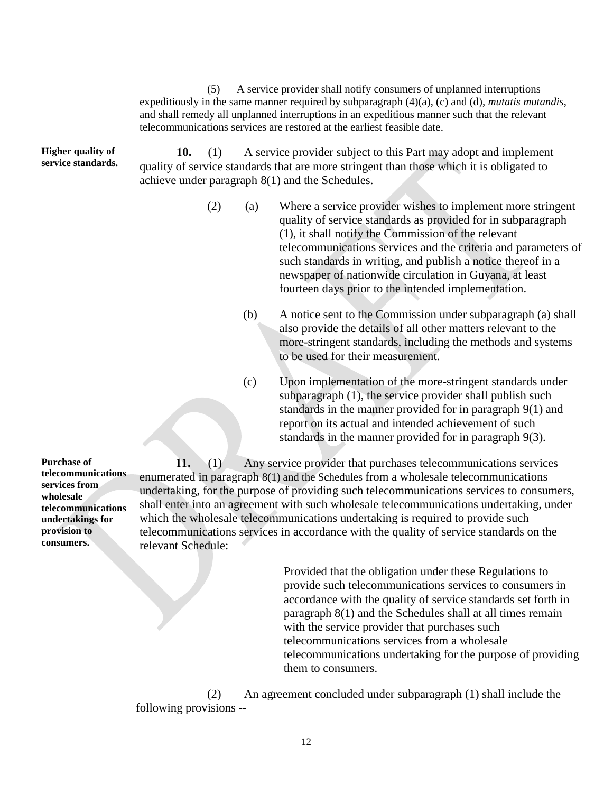(5) A service provider shall notify consumers of unplanned interruptions expeditiously in the same manner required by subparagraph (4)(a), (c) and (d), *mutatis mutandis*, and shall remedy all unplanned interruptions in an expeditious manner such that the relevant telecommunications services are restored at the earliest feasible date.

**Higher quality of service standards.**

**10.** (1) A service provider subject to this Part may adopt and implement quality of service standards that are more stringent than those which it is obligated to achieve under paragraph 8(1) and the Schedules.

- (2) (a) Where a service provider wishes to implement more stringent quality of service standards as provided for in subparagraph (1), it shall notify the Commission of the relevant telecommunications services and the criteria and parameters of such standards in writing, and publish a notice thereof in a newspaper of nationwide circulation in Guyana, at least fourteen days prior to the intended implementation.
	- (b) A notice sent to the Commission under subparagraph (a) shall also provide the details of all other matters relevant to the more-stringent standards, including the methods and systems to be used for their measurement.
	- (c) Upon implementation of the more-stringent standards under subparagraph (1), the service provider shall publish such standards in the manner provided for in paragraph 9(1) and report on its actual and intended achievement of such standards in the manner provided for in paragraph 9(3).

**11.** (1) Any service provider that purchases telecommunications services enumerated in paragraph 8(1) and the Schedules from a wholesale telecommunications undertaking, for the purpose of providing such telecommunications services to consumers, shall enter into an agreement with such wholesale telecommunications undertaking, under which the wholesale telecommunications undertaking is required to provide such telecommunications services in accordance with the quality of service standards on the relevant Schedule:

> Provided that the obligation under these Regulations to provide such telecommunications services to consumers in accordance with the quality of service standards set forth in paragraph 8(1) and the Schedules shall at all times remain with the service provider that purchases such telecommunications services from a wholesale telecommunications undertaking for the purpose of providing them to consumers.

(2) An agreement concluded under subparagraph (1) shall include the following provisions --

**Purchase of telecommunications services from wholesale telecommunications undertakings for provision to consumers.**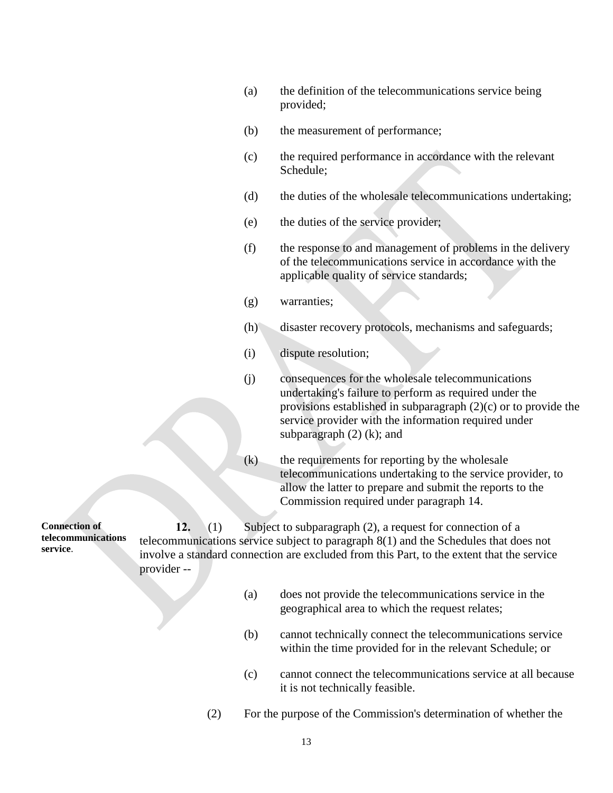- (a) the definition of the telecommunications service being provided;
- (b) the measurement of performance;
- (c) the required performance in accordance with the relevant Schedule;
- (d) the duties of the wholesale telecommunications undertaking;
- (e) the duties of the service provider;
- (f) the response to and management of problems in the delivery of the telecommunications service in accordance with the applicable quality of service standards;
- (g) warranties;
- (h) disaster recovery protocols, mechanisms and safeguards;
- (i) dispute resolution;
- (j) consequences for the wholesale telecommunications undertaking's failure to perform as required under the provisions established in subparagraph (2)(c) or to provide the service provider with the information required under subparagraph  $(2)$   $(k)$ ; and
- (k) the requirements for reporting by the wholesale telecommunications undertaking to the service provider, to allow the latter to prepare and submit the reports to the Commission required under paragraph 14.

**Connection of telecommunications service**. **12.** (1) Subject to subparagraph (2), a request for connection of a telecommunications service subject to paragraph 8(1) and the Schedules that does not involve a standard connection are excluded from this Part, to the extent that the service provider --

- (a) does not provide the telecommunications service in the geographical area to which the request relates;
- (b) cannot technically connect the telecommunications service within the time provided for in the relevant Schedule; or
- (c) cannot connect the telecommunications service at all because it is not technically feasible.
- (2) For the purpose of the Commission's determination of whether the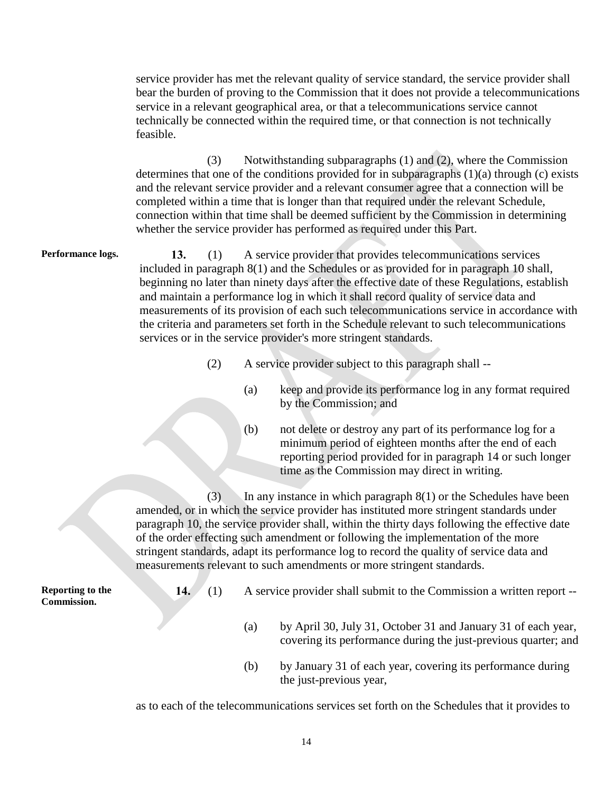service provider has met the relevant quality of service standard, the service provider shall bear the burden of proving to the Commission that it does not provide a telecommunications service in a relevant geographical area, or that a telecommunications service cannot technically be connected within the required time, or that connection is not technically feasible.

(3) Notwithstanding subparagraphs (1) and (2), where the Commission determines that one of the conditions provided for in subparagraphs (1)(a) through (c) exists and the relevant service provider and a relevant consumer agree that a connection will be completed within a time that is longer than that required under the relevant Schedule, connection within that time shall be deemed sufficient by the Commission in determining whether the service provider has performed as required under this Part.

**Performance logs. 13.** (1) A service provider that provides telecommunications services included in paragraph 8(1) and the Schedules or as provided for in paragraph 10 shall, beginning no later than ninety days after the effective date of these Regulations, establish and maintain a performance log in which it shall record quality of service data and measurements of its provision of each such telecommunications service in accordance with the criteria and parameters set forth in the Schedule relevant to such telecommunications services or in the service provider's more stringent standards.

- (2) A service provider subject to this paragraph shall --
	- (a) keep and provide its performance log in any format required by the Commission; and
	- (b) not delete or destroy any part of its performance log for a minimum period of eighteen months after the end of each reporting period provided for in paragraph 14 or such longer time as the Commission may direct in writing.

 $(3)$  In any instance in which paragraph  $8(1)$  or the Schedules have been amended, or in which the service provider has instituted more stringent standards under paragraph 10, the service provider shall, within the thirty days following the effective date of the order effecting such amendment or following the implementation of the more stringent standards, adapt its performance log to record the quality of service data and measurements relevant to such amendments or more stringent standards.

**Reporting to the Commission.**

- **14.** (1) A service provider shall submit to the Commission a written report --
	- (a) by April 30, July 31, October 31 and January 31 of each year, covering its performance during the just-previous quarter; and
	- (b) by January 31 of each year, covering its performance during the just-previous year,

as to each of the telecommunications services set forth on the Schedules that it provides to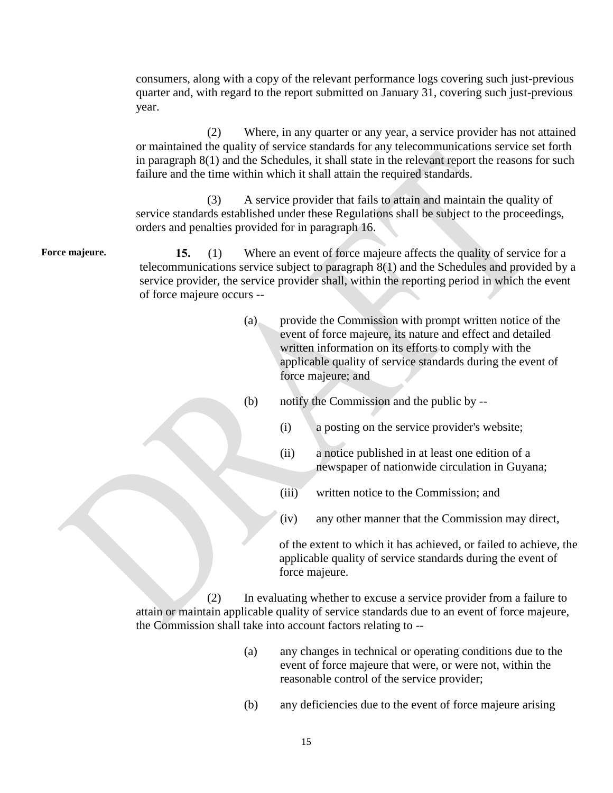consumers, along with a copy of the relevant performance logs covering such just-previous quarter and, with regard to the report submitted on January 31, covering such just-previous year.

(2) Where, in any quarter or any year, a service provider has not attained or maintained the quality of service standards for any telecommunications service set forth in paragraph 8(1) and the Schedules, it shall state in the relevant report the reasons for such failure and the time within which it shall attain the required standards.

(3) A service provider that fails to attain and maintain the quality of service standards established under these Regulations shall be subject to the proceedings, orders and penalties provided for in paragraph 16.

Force majeure. 15. (1) Where an event of force majeure affects the quality of service for a telecommunications service subject to paragraph 8(1) and the Schedules and provided by a service provider, the service provider shall, within the reporting period in which the event of force majeure occurs --

- (a) provide the Commission with prompt written notice of the event of force majeure, its nature and effect and detailed written information on its efforts to comply with the applicable quality of service standards during the event of force majeure; and
- (b) notify the Commission and the public by --
	- (i) a posting on the service provider's website;
	- (ii) a notice published in at least one edition of a newspaper of nationwide circulation in Guyana;
	- (iii) written notice to the Commission; and
	- (iv) any other manner that the Commission may direct,

of the extent to which it has achieved, or failed to achieve, the applicable quality of service standards during the event of force majeure.

(2) In evaluating whether to excuse a service provider from a failure to attain or maintain applicable quality of service standards due to an event of force majeure, the Commission shall take into account factors relating to --

- (a) any changes in technical or operating conditions due to the event of force majeure that were, or were not, within the reasonable control of the service provider;
- (b) any deficiencies due to the event of force majeure arising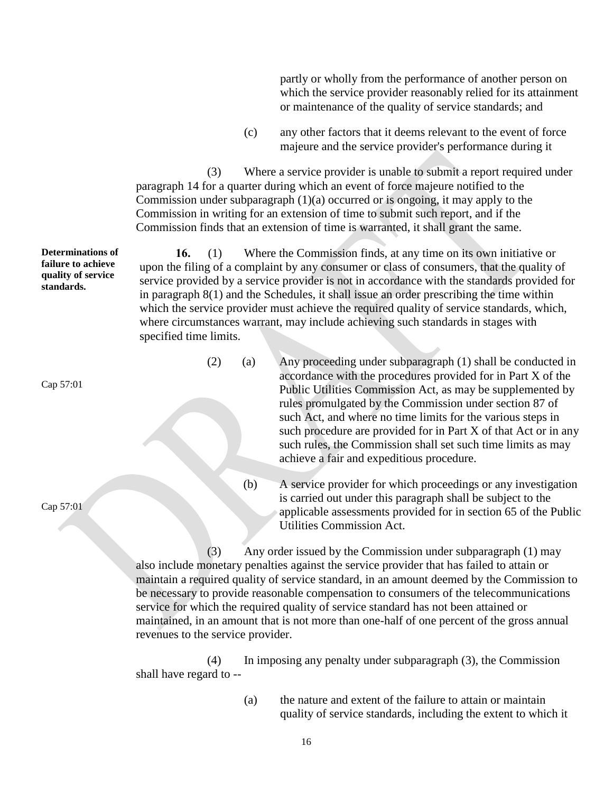partly or wholly from the performance of another person on which the service provider reasonably relied for its attainment or maintenance of the quality of service standards; and

(c) any other factors that it deems relevant to the event of force majeure and the service provider's performance during it

(3) Where a service provider is unable to submit a report required under paragraph 14 for a quarter during which an event of force majeure notified to the Commission under subparagraph (1)(a) occurred or is ongoing, it may apply to the Commission in writing for an extension of time to submit such report, and if the Commission finds that an extension of time is warranted, it shall grant the same.

**16.** (1) Where the Commission finds, at any time on its own initiative or upon the filing of a complaint by any consumer or class of consumers, that the quality of service provided by a service provider is not in accordance with the standards provided for in paragraph 8(1) and the Schedules, it shall issue an order prescribing the time within which the service provider must achieve the required quality of service standards, which, where circumstances warrant, may include achieving such standards in stages with specified time limits.

- (2) (a) Any proceeding under subparagraph (1) shall be conducted in accordance with the procedures provided for in Part X of the Public Utilities Commission Act, as may be supplemented by rules promulgated by the Commission under section 87 of such Act, and where no time limits for the various steps in such procedure are provided for in Part X of that Act or in any such rules, the Commission shall set such time limits as may achieve a fair and expeditious procedure.
	- (b) A service provider for which proceedings or any investigation is carried out under this paragraph shall be subject to the applicable assessments provided for in section 65 of the Public Utilities Commission Act.

(3) Any order issued by the Commission under subparagraph (1) may also include monetary penalties against the service provider that has failed to attain or maintain a required quality of service standard, in an amount deemed by the Commission to be necessary to provide reasonable compensation to consumers of the telecommunications service for which the required quality of service standard has not been attained or maintained, in an amount that is not more than one-half of one percent of the gross annual revenues to the service provider.

(4) In imposing any penalty under subparagraph (3), the Commission shall have regard to --

> (a) the nature and extent of the failure to attain or maintain quality of service standards, including the extent to which it

**Determinations of failure to achieve quality of service standards.**

Cap 57:01

Cap 57:01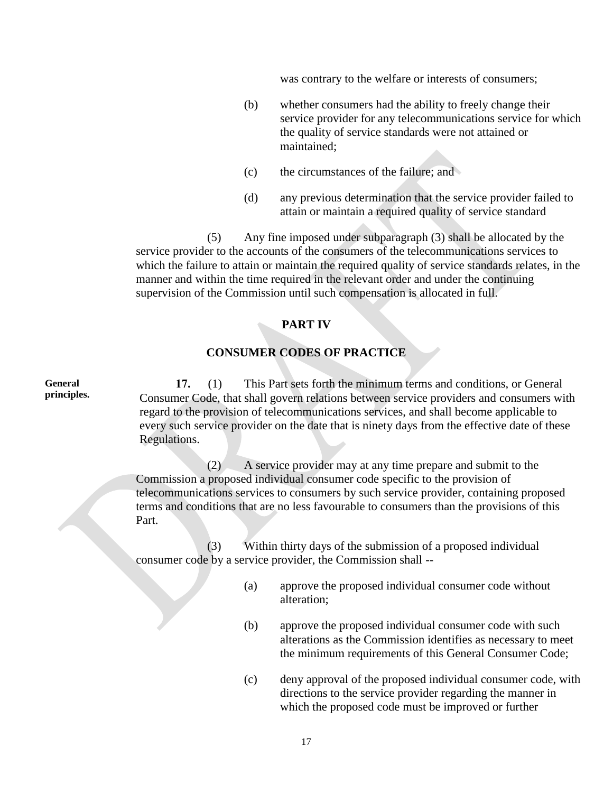was contrary to the welfare or interests of consumers;

- (b) whether consumers had the ability to freely change their service provider for any telecommunications service for which the quality of service standards were not attained or maintained;
- (c) the circumstances of the failure; and
- (d) any previous determination that the service provider failed to attain or maintain a required quality of service standard

(5) Any fine imposed under subparagraph (3) shall be allocated by the service provider to the accounts of the consumers of the telecommunications services to which the failure to attain or maintain the required quality of service standards relates, in the manner and within the time required in the relevant order and under the continuing supervision of the Commission until such compensation is allocated in full.

#### **PART IV**

#### **CONSUMER CODES OF PRACTICE**

**17.** (1) This Part sets forth the minimum terms and conditions, or General Consumer Code, that shall govern relations between service providers and consumers with regard to the provision of telecommunications services, and shall become applicable to every such service provider on the date that is ninety days from the effective date of these Regulations.

(2) A service provider may at any time prepare and submit to the Commission a proposed individual consumer code specific to the provision of telecommunications services to consumers by such service provider, containing proposed terms and conditions that are no less favourable to consumers than the provisions of this Part.

(3) Within thirty days of the submission of a proposed individual consumer code by a service provider, the Commission shall --

- (a) approve the proposed individual consumer code without alteration;
- (b) approve the proposed individual consumer code with such alterations as the Commission identifies as necessary to meet the minimum requirements of this General Consumer Code;
- (c) deny approval of the proposed individual consumer code, with directions to the service provider regarding the manner in which the proposed code must be improved or further

**General principles.**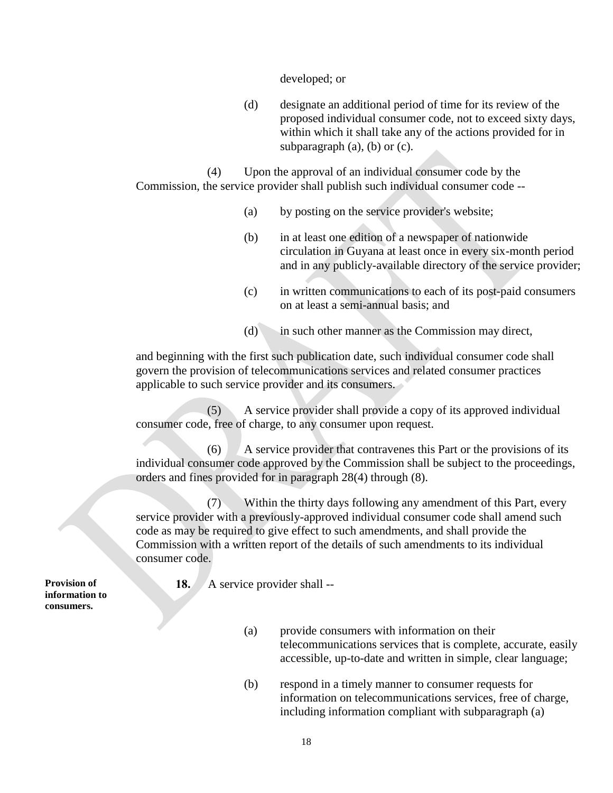developed; or

(d) designate an additional period of time for its review of the proposed individual consumer code, not to exceed sixty days, within which it shall take any of the actions provided for in subparagraph  $(a)$ ,  $(b)$  or  $(c)$ .

(4) Upon the approval of an individual consumer code by the Commission, the service provider shall publish such individual consumer code --

- (a) by posting on the service provider's website;
- (b) in at least one edition of a newspaper of nationwide circulation in Guyana at least once in every six-month period and in any publicly-available directory of the service provider;
- (c) in written communications to each of its post-paid consumers on at least a semi-annual basis; and
- (d) in such other manner as the Commission may direct,

and beginning with the first such publication date, such individual consumer code shall govern the provision of telecommunications services and related consumer practices applicable to such service provider and its consumers.

(5) A service provider shall provide a copy of its approved individual consumer code, free of charge, to any consumer upon request.

(6) A service provider that contravenes this Part or the provisions of its individual consumer code approved by the Commission shall be subject to the proceedings, orders and fines provided for in paragraph 28(4) through (8).

(7) Within the thirty days following any amendment of this Part, every service provider with a previously-approved individual consumer code shall amend such code as may be required to give effect to such amendments, and shall provide the Commission with a written report of the details of such amendments to its individual consumer code.

**Provision of information to consumers.**

**18.** A service provider shall --

- (a) provide consumers with information on their telecommunications services that is complete, accurate, easily accessible, up-to-date and written in simple, clear language;
- (b) respond in a timely manner to consumer requests for information on telecommunications services, free of charge, including information compliant with subparagraph (a)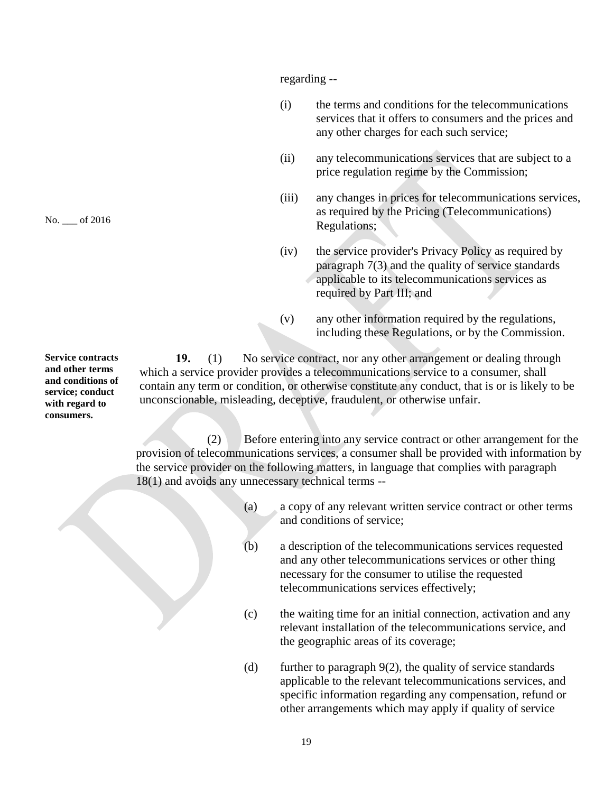regarding --

- (i) the terms and conditions for the telecommunications services that it offers to consumers and the prices and any other charges for each such service;
- (ii) any telecommunications services that are subject to a price regulation regime by the Commission;
- (iii) any changes in prices for telecommunications services, as required by the Pricing (Telecommunications) Regulations;
- (iv) the service provider's Privacy Policy as required by paragraph 7(3) and the quality of service standards applicable to its telecommunications services as required by Part III; and
- (v) any other information required by the regulations, including these Regulations, or by the Commission.

**19.** (1) No service contract, nor any other arrangement or dealing through which a service provider provides a telecommunications service to a consumer, shall contain any term or condition, or otherwise constitute any conduct, that is or is likely to be unconscionable, misleading, deceptive, fraudulent, or otherwise unfair.

(2) Before entering into any service contract or other arrangement for the provision of telecommunications services, a consumer shall be provided with information by the service provider on the following matters, in language that complies with paragraph 18(1) and avoids any unnecessary technical terms --

- (a) a copy of any relevant written service contract or other terms and conditions of service;
- (b) a description of the telecommunications services requested and any other telecommunications services or other thing necessary for the consumer to utilise the requested telecommunications services effectively;
- (c) the waiting time for an initial connection, activation and any relevant installation of the telecommunications service, and the geographic areas of its coverage;
- (d) further to paragraph  $9(2)$ , the quality of service standards applicable to the relevant telecommunications services, and specific information regarding any compensation, refund or other arrangements which may apply if quality of service

**Service contracts and other terms and conditions of service; conduct with regard to consumers.**

No. \_\_\_ of 2016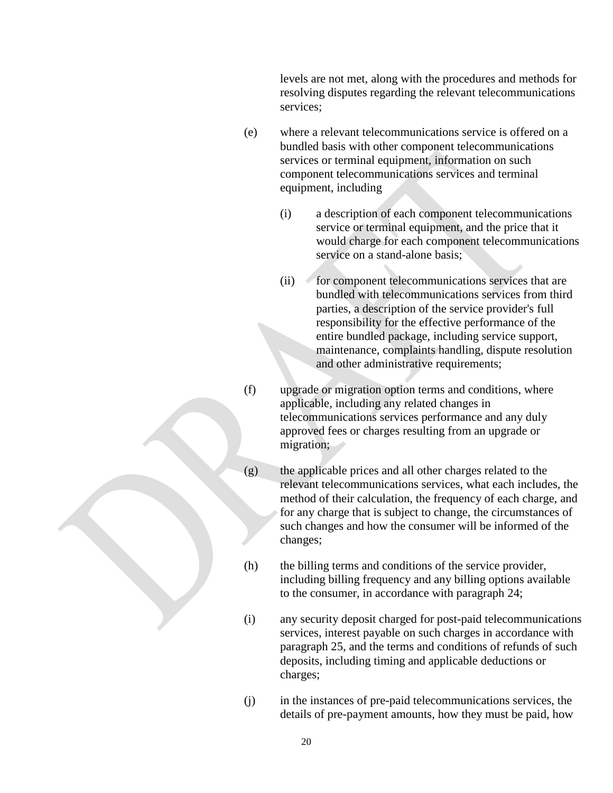levels are not met, along with the procedures and methods for resolving disputes regarding the relevant telecommunications services;

- (e) where a relevant telecommunications service is offered on a bundled basis with other component telecommunications services or terminal equipment, information on such component telecommunications services and terminal equipment, including
	- (i) a description of each component telecommunications service or terminal equipment, and the price that it would charge for each component telecommunications service on a stand-alone basis;
	- (ii) for component telecommunications services that are bundled with telecommunications services from third parties, a description of the service provider's full responsibility for the effective performance of the entire bundled package, including service support, maintenance, complaints handling, dispute resolution and other administrative requirements;
- (f) upgrade or migration option terms and conditions, where applicable, including any related changes in telecommunications services performance and any duly approved fees or charges resulting from an upgrade or migration;
- (g) the applicable prices and all other charges related to the relevant telecommunications services, what each includes, the method of their calculation, the frequency of each charge, and for any charge that is subject to change, the circumstances of such changes and how the consumer will be informed of the changes;
- (h) the billing terms and conditions of the service provider, including billing frequency and any billing options available to the consumer, in accordance with paragraph 24;
- (i) any security deposit charged for post-paid telecommunications services, interest payable on such charges in accordance with paragraph 25, and the terms and conditions of refunds of such deposits, including timing and applicable deductions or charges;
- (j) in the instances of pre-paid telecommunications services, the details of pre-payment amounts, how they must be paid, how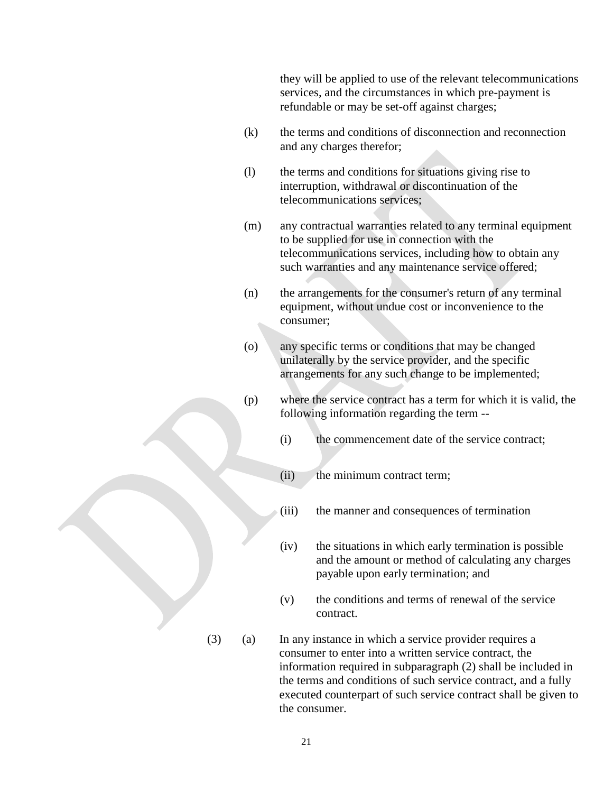they will be applied to use of the relevant telecommunications services, and the circumstances in which pre-payment is refundable or may be set-off against charges;

- (k) the terms and conditions of disconnection and reconnection and any charges therefor;
- (l) the terms and conditions for situations giving rise to interruption, withdrawal or discontinuation of the telecommunications services;
- (m) any contractual warranties related to any terminal equipment to be supplied for use in connection with the telecommunications services, including how to obtain any such warranties and any maintenance service offered;
- (n) the arrangements for the consumer's return of any terminal equipment, without undue cost or inconvenience to the consumer;
- (o) any specific terms or conditions that may be changed unilaterally by the service provider, and the specific arrangements for any such change to be implemented;
- (p) where the service contract has a term for which it is valid, the following information regarding the term --
	- (i) the commencement date of the service contract;
	- (ii) the minimum contract term;
	- (iii) the manner and consequences of termination
	- (iv) the situations in which early termination is possible and the amount or method of calculating any charges payable upon early termination; and
	- (v) the conditions and terms of renewal of the service contract.
- (3) (a) In any instance in which a service provider requires a consumer to enter into a written service contract, the information required in subparagraph (2) shall be included in the terms and conditions of such service contract, and a fully executed counterpart of such service contract shall be given to the consumer.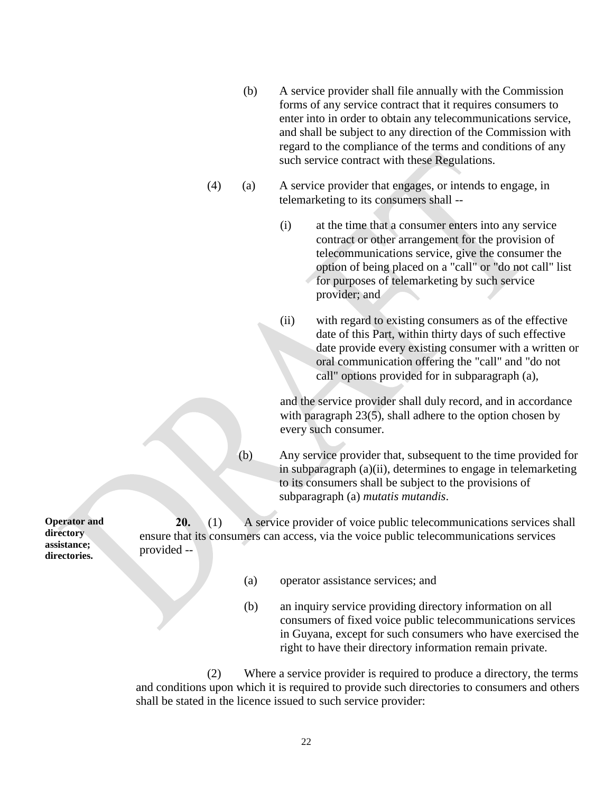- (b) A service provider shall file annually with the Commission forms of any service contract that it requires consumers to enter into in order to obtain any telecommunications service, and shall be subject to any direction of the Commission with regard to the compliance of the terms and conditions of any such service contract with these Regulations.
- (4) (a) A service provider that engages, or intends to engage, in telemarketing to its consumers shall --
	- (i) at the time that a consumer enters into any service contract or other arrangement for the provision of telecommunications service, give the consumer the option of being placed on a "call" or "do not call" list for purposes of telemarketing by such service provider; and

(ii) with regard to existing consumers as of the effective date of this Part, within thirty days of such effective date provide every existing consumer with a written or oral communication offering the "call" and "do not call" options provided for in subparagraph (a),

and the service provider shall duly record, and in accordance with paragraph 23(5), shall adhere to the option chosen by every such consumer.

(b) Any service provider that, subsequent to the time provided for in subparagraph (a)(ii), determines to engage in telemarketing to its consumers shall be subject to the provisions of subparagraph (a) *mutatis mutandis*.

**Operator and directory assistance; 20.** (1) A service provider of voice public telecommunications services shall ensure that its consumers can access, via the voice public telecommunications services provided --

- (a) operator assistance services; and
- (b) an inquiry service providing directory information on all consumers of fixed voice public telecommunications services in Guyana, except for such consumers who have exercised the right to have their directory information remain private.

(2) Where a service provider is required to produce a directory, the terms and conditions upon which it is required to provide such directories to consumers and others shall be stated in the licence issued to such service provider:

**directories.**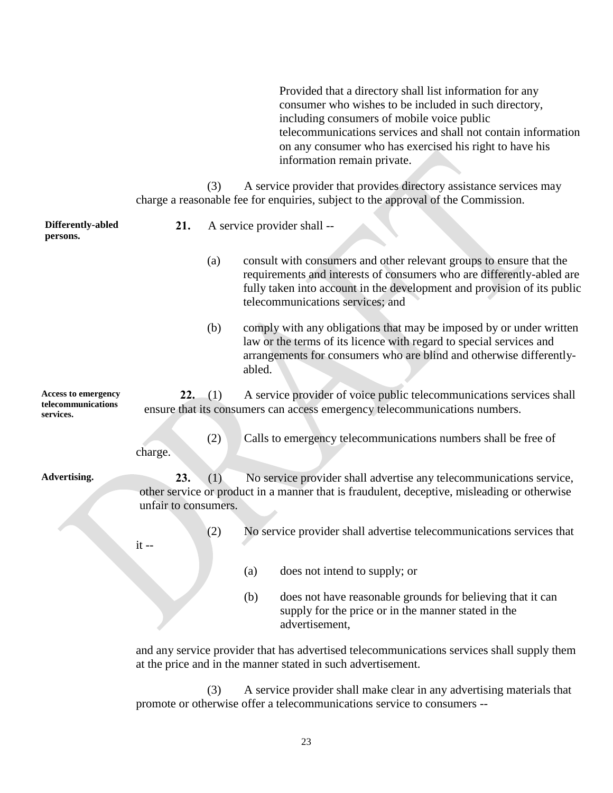Provided that a directory shall list information for any consumer who wishes to be included in such directory, including consumers of mobile voice public telecommunications services and shall not contain information on any consumer who has exercised his right to have his information remain private.

(3) A service provider that provides directory assistance services may charge a reasonable fee for enquiries, subject to the approval of the Commission.

| Differently-abled<br>persons.                                 | 21.                         | A service provider shall -- |        |                                                                                                                                                                                                                                                             |
|---------------------------------------------------------------|-----------------------------|-----------------------------|--------|-------------------------------------------------------------------------------------------------------------------------------------------------------------------------------------------------------------------------------------------------------------|
|                                                               |                             | (a)                         |        | consult with consumers and other relevant groups to ensure that the<br>requirements and interests of consumers who are differently-abled are<br>fully taken into account in the development and provision of its public<br>telecommunications services; and |
|                                                               |                             | (b)                         | abled. | comply with any obligations that may be imposed by or under written<br>law or the terms of its licence with regard to special services and<br>arrangements for consumers who are blind and otherwise differently-                                           |
| <b>Access to emergency</b><br>telecommunications<br>services. | 22.                         | (1)                         |        | A service provider of voice public telecommunications services shall<br>ensure that its consumers can access emergency telecommunications numbers.                                                                                                          |
|                                                               | charge.                     | (2)                         |        | Calls to emergency telecommunications numbers shall be free of                                                                                                                                                                                              |
| Advertising.                                                  | 23.<br>unfair to consumers. | (1)                         |        | No service provider shall advertise any telecommunications service,<br>other service or product in a manner that is fraudulent, deceptive, misleading or otherwise                                                                                          |
|                                                               | $it -$                      | (2)                         |        | No service provider shall advertise telecommunications services that                                                                                                                                                                                        |
|                                                               |                             |                             | (a)    | does not intend to supply; or                                                                                                                                                                                                                               |
|                                                               |                             |                             | (b)    | does not have reasonable grounds for believing that it can<br>supply for the price or in the manner stated in the<br>advertisement,                                                                                                                         |
|                                                               |                             |                             |        | and any service provider that has advertised telecommunications services shall supply them                                                                                                                                                                  |

at the price and in the manner stated in such advertisement.

(3) A service provider shall make clear in any advertising materials that promote or otherwise offer a telecommunications service to consumers --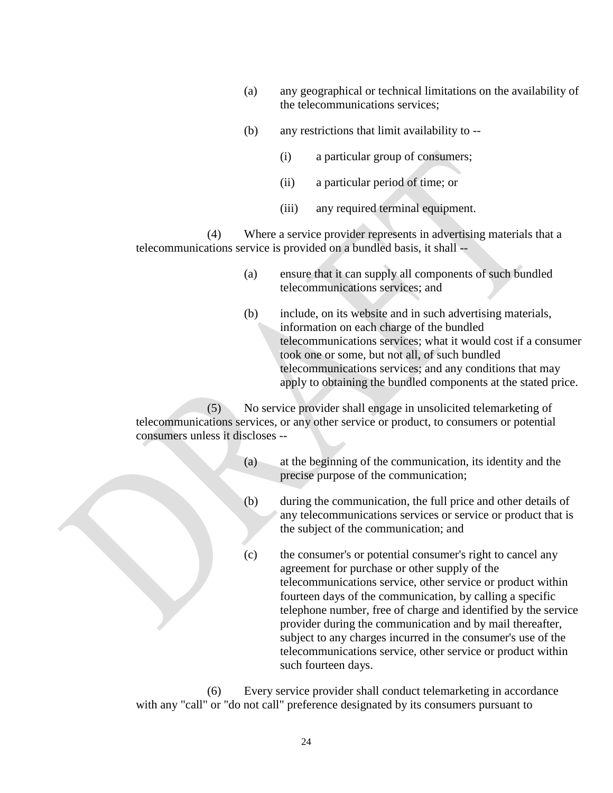- (a) any geographical or technical limitations on the availability of the telecommunications services;
- (b) any restrictions that limit availability to --
	- (i) a particular group of consumers;
	- (ii) a particular period of time; or
	- (iii) any required terminal equipment.

(4) Where a service provider represents in advertising materials that a telecommunications service is provided on a bundled basis, it shall --

- (a) ensure that it can supply all components of such bundled telecommunications services; and
- (b) include, on its website and in such advertising materials, information on each charge of the bundled telecommunications services; what it would cost if a consumer took one or some, but not all, of such bundled telecommunications services; and any conditions that may apply to obtaining the bundled components at the stated price.

(5) No service provider shall engage in unsolicited telemarketing of telecommunications services, or any other service or product, to consumers or potential consumers unless it discloses --

- (a) at the beginning of the communication, its identity and the precise purpose of the communication;
- (b) during the communication, the full price and other details of any telecommunications services or service or product that is the subject of the communication; and
- (c) the consumer's or potential consumer's right to cancel any agreement for purchase or other supply of the telecommunications service, other service or product within fourteen days of the communication, by calling a specific telephone number, free of charge and identified by the service provider during the communication and by mail thereafter, subject to any charges incurred in the consumer's use of the telecommunications service, other service or product within such fourteen days.

(6) Every service provider shall conduct telemarketing in accordance with any "call" or "do not call" preference designated by its consumers pursuant to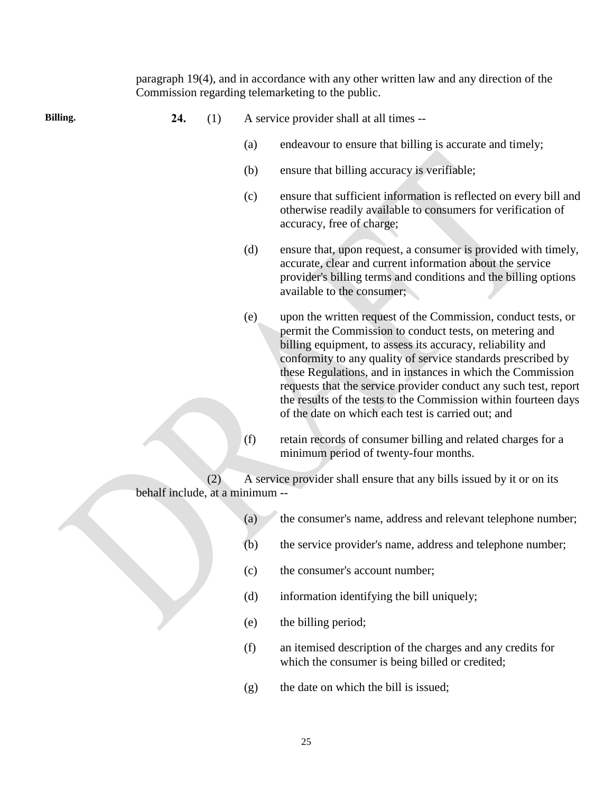|          |                                 |     |                          | paragraph 19(4), and in accordance with any other written law and any direction of the<br>Commission regarding telemarketing to the public.                                                                                                                                                                                                                                                                                                                                                                        |
|----------|---------------------------------|-----|--------------------------|--------------------------------------------------------------------------------------------------------------------------------------------------------------------------------------------------------------------------------------------------------------------------------------------------------------------------------------------------------------------------------------------------------------------------------------------------------------------------------------------------------------------|
| Billing. | 24.                             | (1) |                          | A service provider shall at all times --                                                                                                                                                                                                                                                                                                                                                                                                                                                                           |
|          |                                 |     | (a)                      | endeavour to ensure that billing is accurate and timely;                                                                                                                                                                                                                                                                                                                                                                                                                                                           |
|          |                                 |     | (b)                      | ensure that billing accuracy is verifiable;                                                                                                                                                                                                                                                                                                                                                                                                                                                                        |
|          |                                 |     | (c)                      | ensure that sufficient information is reflected on every bill and<br>otherwise readily available to consumers for verification of<br>accuracy, free of charge;                                                                                                                                                                                                                                                                                                                                                     |
|          |                                 |     | (d)                      | ensure that, upon request, a consumer is provided with timely,<br>accurate, clear and current information about the service<br>provider's billing terms and conditions and the billing options<br>available to the consumer;                                                                                                                                                                                                                                                                                       |
|          |                                 |     | (e)                      | upon the written request of the Commission, conduct tests, or<br>permit the Commission to conduct tests, on metering and<br>billing equipment, to assess its accuracy, reliability and<br>conformity to any quality of service standards prescribed by<br>these Regulations, and in instances in which the Commission<br>requests that the service provider conduct any such test, report<br>the results of the tests to the Commission within fourteen days<br>of the date on which each test is carried out; and |
|          |                                 |     | (f)                      | retain records of consumer billing and related charges for a<br>minimum period of twenty-four months.                                                                                                                                                                                                                                                                                                                                                                                                              |
|          | behalf include, at a minimum -- | (2) |                          | A service provider shall ensure that any bills issued by it or on its                                                                                                                                                                                                                                                                                                                                                                                                                                              |
|          |                                 |     | $\left( \text{a}\right)$ | the consumer's name, address and relevant telephone number;                                                                                                                                                                                                                                                                                                                                                                                                                                                        |
|          |                                 |     | (b)                      | the service provider's name, address and telephone number;                                                                                                                                                                                                                                                                                                                                                                                                                                                         |
|          |                                 |     | (c)                      | the consumer's account number;                                                                                                                                                                                                                                                                                                                                                                                                                                                                                     |
|          |                                 |     | (d)                      | information identifying the bill uniquely;                                                                                                                                                                                                                                                                                                                                                                                                                                                                         |
|          |                                 |     | (e)                      | the billing period;                                                                                                                                                                                                                                                                                                                                                                                                                                                                                                |
|          |                                 |     | (f)                      | an itemised description of the charges and any credits for                                                                                                                                                                                                                                                                                                                                                                                                                                                         |

- which the consumer is being billed or credited;
- (g) the date on which the bill is issued;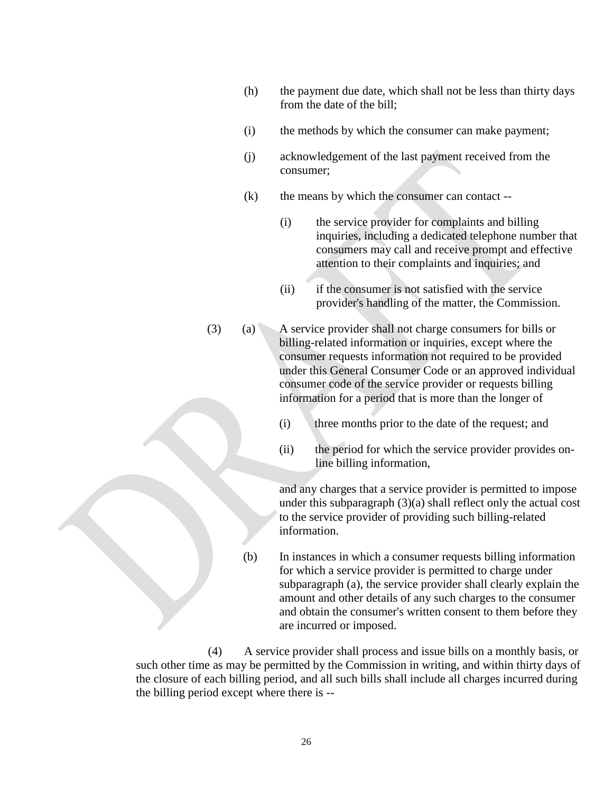- (h) the payment due date, which shall not be less than thirty days from the date of the bill;
- (i) the methods by which the consumer can make payment;
- (j) acknowledgement of the last payment received from the consumer;
- (k) the means by which the consumer can contact --
	- (i) the service provider for complaints and billing inquiries, including a dedicated telephone number that consumers may call and receive prompt and effective attention to their complaints and inquiries; and
	- (ii) if the consumer is not satisfied with the service provider's handling of the matter, the Commission.
- (3) (a) A service provider shall not charge consumers for bills or billing-related information or inquiries, except where the consumer requests information not required to be provided under this General Consumer Code or an approved individual consumer code of the service provider or requests billing information for a period that is more than the longer of
	- (i) three months prior to the date of the request; and
	- (ii) the period for which the service provider provides online billing information,

and any charges that a service provider is permitted to impose under this subparagraph (3)(a) shall reflect only the actual cost to the service provider of providing such billing-related information.

(b) In instances in which a consumer requests billing information for which a service provider is permitted to charge under subparagraph (a), the service provider shall clearly explain the amount and other details of any such charges to the consumer and obtain the consumer's written consent to them before they are incurred or imposed.

(4) A service provider shall process and issue bills on a monthly basis, or such other time as may be permitted by the Commission in writing, and within thirty days of the closure of each billing period, and all such bills shall include all charges incurred during the billing period except where there is --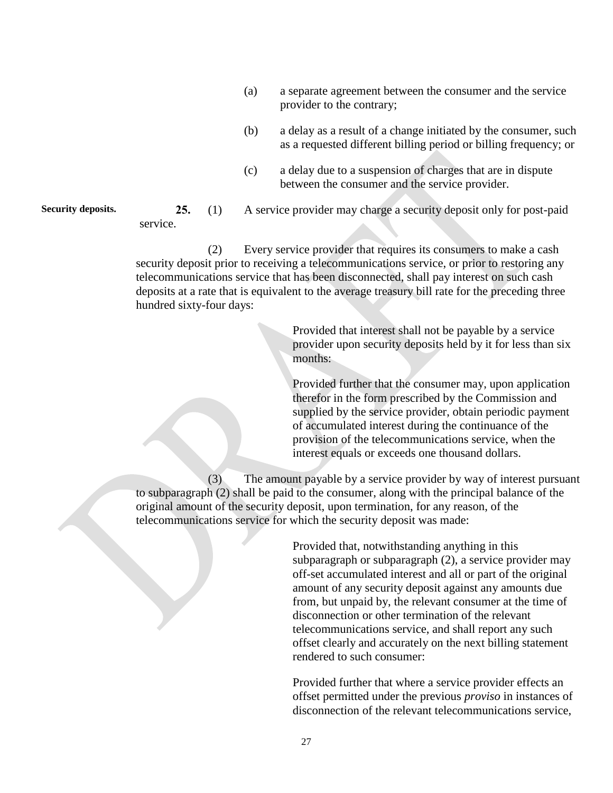- (a) a separate agreement between the consumer and the service provider to the contrary;
- (b) a delay as a result of a change initiated by the consumer, such as a requested different billing period or billing frequency; or
- (c) a delay due to a suspension of charges that are in dispute between the consumer and the service provider.

**Security deposits. 25.** (1) A service provider may charge a security deposit only for post-paid

service.

(2) Every service provider that requires its consumers to make a cash security deposit prior to receiving a telecommunications service, or prior to restoring any telecommunications service that has been disconnected, shall pay interest on such cash deposits at a rate that is equivalent to the average treasury bill rate for the preceding three hundred sixty-four days:

> Provided that interest shall not be payable by a service provider upon security deposits held by it for less than six months:

> Provided further that the consumer may, upon application therefor in the form prescribed by the Commission and supplied by the service provider, obtain periodic payment of accumulated interest during the continuance of the provision of the telecommunications service, when the interest equals or exceeds one thousand dollars.

(3) The amount payable by a service provider by way of interest pursuant to subparagraph (2) shall be paid to the consumer, along with the principal balance of the original amount of the security deposit, upon termination, for any reason, of the telecommunications service for which the security deposit was made:

> Provided that, notwithstanding anything in this subparagraph or subparagraph (2), a service provider may off-set accumulated interest and all or part of the original amount of any security deposit against any amounts due from, but unpaid by, the relevant consumer at the time of disconnection or other termination of the relevant telecommunications service, and shall report any such offset clearly and accurately on the next billing statement rendered to such consumer:

Provided further that where a service provider effects an offset permitted under the previous *proviso* in instances of disconnection of the relevant telecommunications service,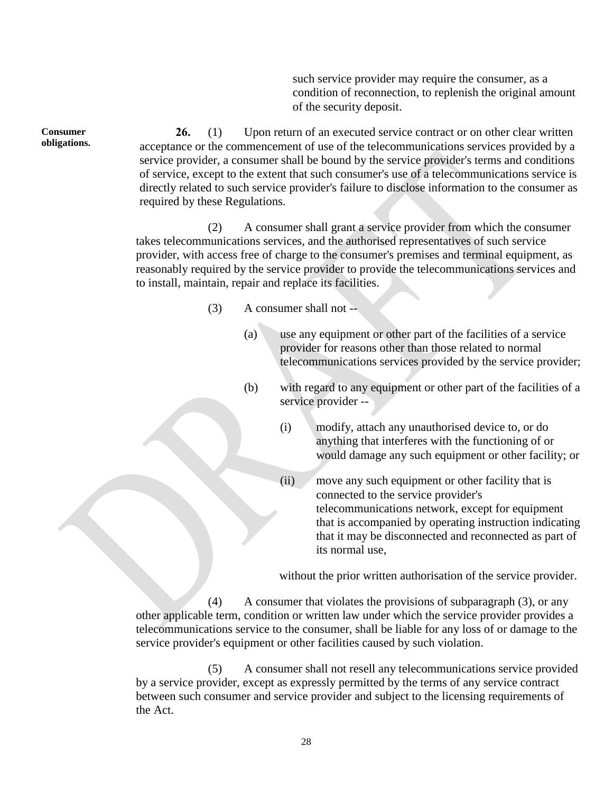such service provider may require the consumer, as a condition of reconnection, to replenish the original amount of the security deposit.

**26.** (1) Upon return of an executed service contract or on other clear written acceptance or the commencement of use of the telecommunications services provided by a service provider, a consumer shall be bound by the service provider's terms and conditions of service, except to the extent that such consumer's use of a telecommunications service is directly related to such service provider's failure to disclose information to the consumer as required by these Regulations.

(2) A consumer shall grant a service provider from which the consumer takes telecommunications services, and the authorised representatives of such service provider, with access free of charge to the consumer's premises and terminal equipment, as reasonably required by the service provider to provide the telecommunications services and to install, maintain, repair and replace its facilities.

- (3) A consumer shall not --
	- (a) use any equipment or other part of the facilities of a service provider for reasons other than those related to normal telecommunications services provided by the service provider;
	- (b) with regard to any equipment or other part of the facilities of a service provider --
		- (i) modify, attach any unauthorised device to, or do anything that interferes with the functioning of or would damage any such equipment or other facility; or
		- (ii) move any such equipment or other facility that is connected to the service provider's telecommunications network, except for equipment that is accompanied by operating instruction indicating that it may be disconnected and reconnected as part of its normal use,

without the prior written authorisation of the service provider.

(4) A consumer that violates the provisions of subparagraph (3), or any other applicable term, condition or written law under which the service provider provides a telecommunications service to the consumer, shall be liable for any loss of or damage to the service provider's equipment or other facilities caused by such violation.

(5) A consumer shall not resell any telecommunications service provided by a service provider, except as expressly permitted by the terms of any service contract between such consumer and service provider and subject to the licensing requirements of the Act.

**Consumer obligations.**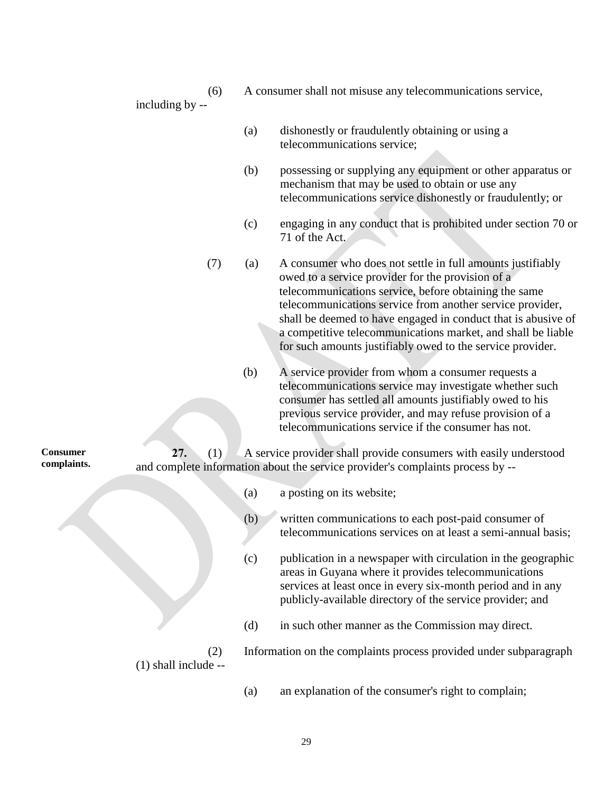(6) A consumer shall not misuse any telecommunications service,

- including by --
- (a) dishonestly or fraudulently obtaining or using a telecommunications service;
- (b) possessing or supplying any equipment or other apparatus or mechanism that may be used to obtain or use any telecommunications service dishonestly or fraudulently; or
- (c) engaging in any conduct that is prohibited under section 70 or 71 of the Act.
- (7) (a) A consumer who does not settle in full amounts justifiably owed to a service provider for the provision of a telecommunications service, before obtaining the same telecommunications service from another service provider, shall be deemed to have engaged in conduct that is abusive of a competitive telecommunications market, and shall be liable for such amounts justifiably owed to the service provider.
	- (b) A service provider from whom a consumer requests a telecommunications service may investigate whether such consumer has settled all amounts justifiably owed to his previous service provider, and may refuse provision of a telecommunications service if the consumer has not.

**27.** (1) A service provider shall provide consumers with easily understood and complete information about the service provider's complaints process by --

- (a) a posting on its website;
- (b) written communications to each post-paid consumer of telecommunications services on at least a semi-annual basis;
- (c) publication in a newspaper with circulation in the geographic areas in Guyana where it provides telecommunications services at least once in every six-month period and in any publicly-available directory of the service provider; and
- (d) in such other manner as the Commission may direct.

(2) Information on the complaints process provided under subparagraph (1) shall include --

(a) an explanation of the consumer's right to complain;

**Consumer complaints.**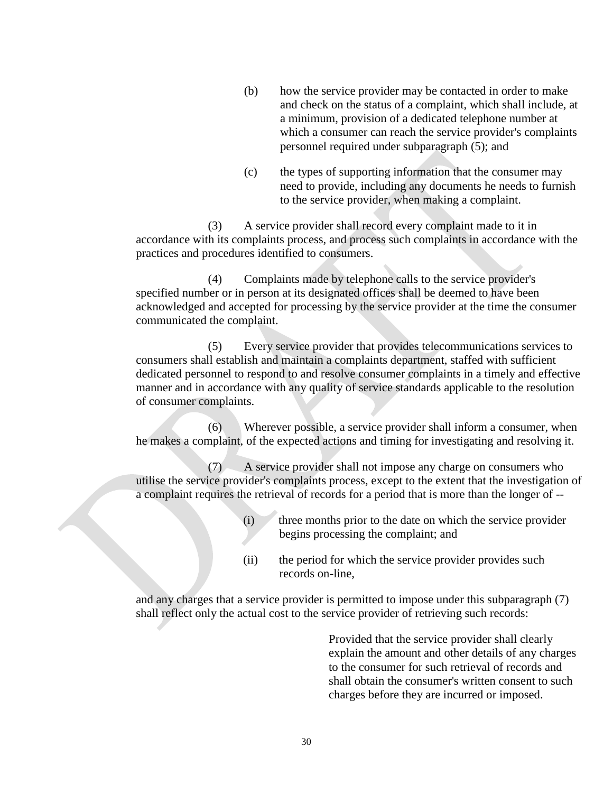- (b) how the service provider may be contacted in order to make and check on the status of a complaint, which shall include, at a minimum, provision of a dedicated telephone number at which a consumer can reach the service provider's complaints personnel required under subparagraph (5); and
- (c) the types of supporting information that the consumer may need to provide, including any documents he needs to furnish to the service provider, when making a complaint.

(3) A service provider shall record every complaint made to it in accordance with its complaints process, and process such complaints in accordance with the practices and procedures identified to consumers.

(4) Complaints made by telephone calls to the service provider's specified number or in person at its designated offices shall be deemed to have been acknowledged and accepted for processing by the service provider at the time the consumer communicated the complaint.

(5) Every service provider that provides telecommunications services to consumers shall establish and maintain a complaints department, staffed with sufficient dedicated personnel to respond to and resolve consumer complaints in a timely and effective manner and in accordance with any quality of service standards applicable to the resolution of consumer complaints.

(6) Wherever possible, a service provider shall inform a consumer, when he makes a complaint, of the expected actions and timing for investigating and resolving it.

(7) A service provider shall not impose any charge on consumers who utilise the service provider's complaints process, except to the extent that the investigation of a complaint requires the retrieval of records for a period that is more than the longer of --

- (i) three months prior to the date on which the service provider begins processing the complaint; and
- (ii) the period for which the service provider provides such records on-line,

and any charges that a service provider is permitted to impose under this subparagraph (7) shall reflect only the actual cost to the service provider of retrieving such records:

> Provided that the service provider shall clearly explain the amount and other details of any charges to the consumer for such retrieval of records and shall obtain the consumer's written consent to such charges before they are incurred or imposed.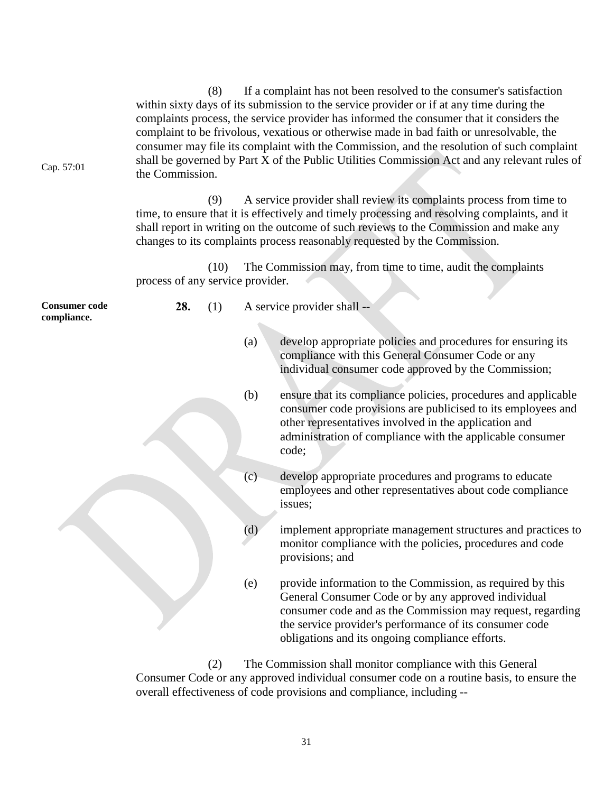Cap. 57:01 (8) If a complaint has not been resolved to the consumer's satisfaction within sixty days of its submission to the service provider or if at any time during the complaints process, the service provider has informed the consumer that it considers the complaint to be frivolous, vexatious or otherwise made in bad faith or unresolvable, the consumer may file its complaint with the Commission, and the resolution of such complaint shall be governed by Part X of the Public Utilities Commission Act and any relevant rules of the Commission. (9) A service provider shall review its complaints process from time to time, to ensure that it is effectively and timely processing and resolving complaints, and it shall report in writing on the outcome of such reviews to the Commission and make any changes to its complaints process reasonably requested by the Commission. (10) The Commission may, from time to time, audit the complaints process of any service provider. **Consumer code compliance. 28.** (1) A service provider shall -- (a) develop appropriate policies and procedures for ensuring its compliance with this General Consumer Code or any individual consumer code approved by the Commission; (b) ensure that its compliance policies, procedures and applicable consumer code provisions are publicised to its employees and other representatives involved in the application and administration of compliance with the applicable consumer code; (c) develop appropriate procedures and programs to educate employees and other representatives about code compliance issues; (d) implement appropriate management structures and practices to monitor compliance with the policies, procedures and code provisions; and (e) provide information to the Commission, as required by this General Consumer Code or by any approved individual consumer code and as the Commission may request, regarding the service provider's performance of its consumer code obligations and its ongoing compliance efforts.

> (2) The Commission shall monitor compliance with this General Consumer Code or any approved individual consumer code on a routine basis, to ensure the overall effectiveness of code provisions and compliance, including --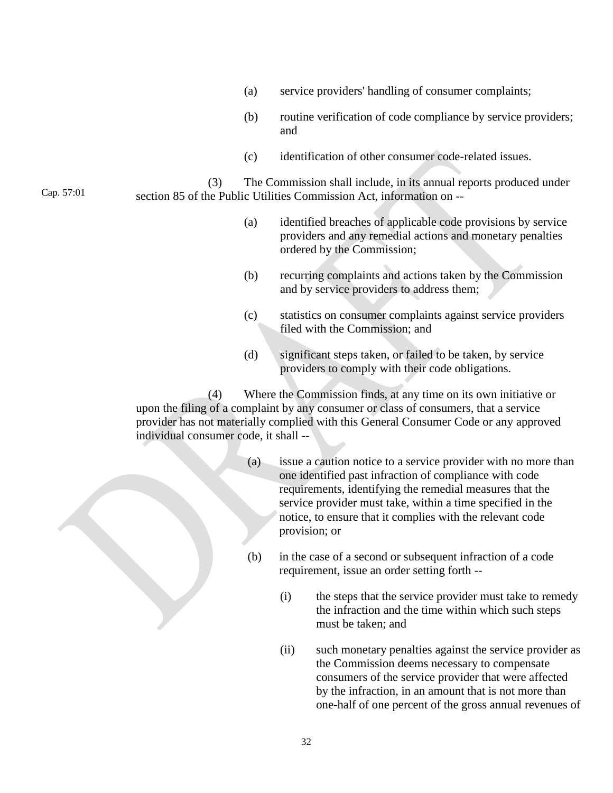- (a) service providers' handling of consumer complaints;
- (b) routine verification of code compliance by service providers; and
- (c) identification of other consumer code-related issues.

(3) The Commission shall include, in its annual reports produced under section 85 of the Public Utilities Commission Act, information on --

Cap. 57:01

- (a) identified breaches of applicable code provisions by service providers and any remedial actions and monetary penalties ordered by the Commission;
- (b) recurring complaints and actions taken by the Commission and by service providers to address them;
- (c) statistics on consumer complaints against service providers filed with the Commission; and
- (d) significant steps taken, or failed to be taken, by service providers to comply with their code obligations.

(4) Where the Commission finds, at any time on its own initiative or upon the filing of a complaint by any consumer or class of consumers, that a service provider has not materially complied with this General Consumer Code or any approved individual consumer code, it shall --

- (a) issue a caution notice to a service provider with no more than one identified past infraction of compliance with code requirements, identifying the remedial measures that the service provider must take, within a time specified in the notice, to ensure that it complies with the relevant code provision; or
- (b) in the case of a second or subsequent infraction of a code requirement, issue an order setting forth --
	- (i) the steps that the service provider must take to remedy the infraction and the time within which such steps must be taken; and
	- (ii) such monetary penalties against the service provider as the Commission deems necessary to compensate consumers of the service provider that were affected by the infraction, in an amount that is not more than one-half of one percent of the gross annual revenues of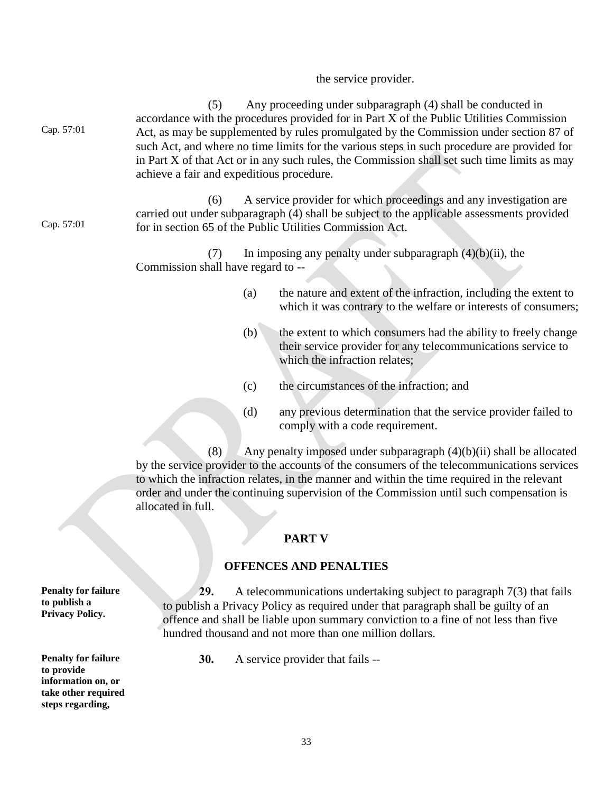# the service provider.

| Cap. 57:01                                                                                                | (5)<br>achieve a fair and expeditious procedure. |     | Any proceeding under subparagraph (4) shall be conducted in<br>accordance with the procedures provided for in Part X of the Public Utilities Commission<br>Act, as may be supplemented by rules promulgated by the Commission under section 87 of<br>such Act, and where no time limits for the various steps in such procedure are provided for<br>in Part X of that Act or in any such rules, the Commission shall set such time limits as may |  |  |
|-----------------------------------------------------------------------------------------------------------|--------------------------------------------------|-----|--------------------------------------------------------------------------------------------------------------------------------------------------------------------------------------------------------------------------------------------------------------------------------------------------------------------------------------------------------------------------------------------------------------------------------------------------|--|--|
| Cap. 57:01                                                                                                | (6)                                              |     | A service provider for which proceedings and any investigation are<br>carried out under subparagraph (4) shall be subject to the applicable assessments provided<br>for in section 65 of the Public Utilities Commission Act.                                                                                                                                                                                                                    |  |  |
|                                                                                                           | (7)<br>Commission shall have regard to --        |     | In imposing any penalty under subparagraph $(4)(b)(ii)$ , the                                                                                                                                                                                                                                                                                                                                                                                    |  |  |
|                                                                                                           |                                                  | (a) | the nature and extent of the infraction, including the extent to<br>which it was contrary to the welfare or interests of consumers;                                                                                                                                                                                                                                                                                                              |  |  |
|                                                                                                           |                                                  | (b) | the extent to which consumers had the ability to freely change<br>their service provider for any telecommunications service to<br>which the infraction relates;                                                                                                                                                                                                                                                                                  |  |  |
|                                                                                                           |                                                  | (c) | the circumstances of the infraction; and                                                                                                                                                                                                                                                                                                                                                                                                         |  |  |
|                                                                                                           |                                                  | (d) | any previous determination that the service provider failed to<br>comply with a code requirement.                                                                                                                                                                                                                                                                                                                                                |  |  |
|                                                                                                           | (8)<br>allocated in full.                        |     | Any penalty imposed under subparagraph (4)(b)(ii) shall be allocated<br>by the service provider to the accounts of the consumers of the telecommunications services<br>to which the infraction relates, in the manner and within the time required in the relevant<br>order and under the continuing supervision of the Commission until such compensation is                                                                                    |  |  |
| <b>PART V</b>                                                                                             |                                                  |     |                                                                                                                                                                                                                                                                                                                                                                                                                                                  |  |  |
| <b>OFFENCES AND PENALTIES</b>                                                                             |                                                  |     |                                                                                                                                                                                                                                                                                                                                                                                                                                                  |  |  |
|                                                                                                           |                                                  |     |                                                                                                                                                                                                                                                                                                                                                                                                                                                  |  |  |
| <b>Penalty for failure</b><br>to publish a<br><b>Privacy Policy.</b>                                      | 29.                                              |     | A telecommunications undertaking subject to paragraph $7(3)$ that fails<br>to publish a Privacy Policy as required under that paragraph shall be guilty of an<br>offence and shall be liable upon summary conviction to a fine of not less than five<br>hundred thousand and not more than one million dollars.                                                                                                                                  |  |  |
| <b>Penalty for failure</b><br>to provide<br>information on, or<br>take other required<br>steps regarding, | 30.                                              |     | A service provider that fails --                                                                                                                                                                                                                                                                                                                                                                                                                 |  |  |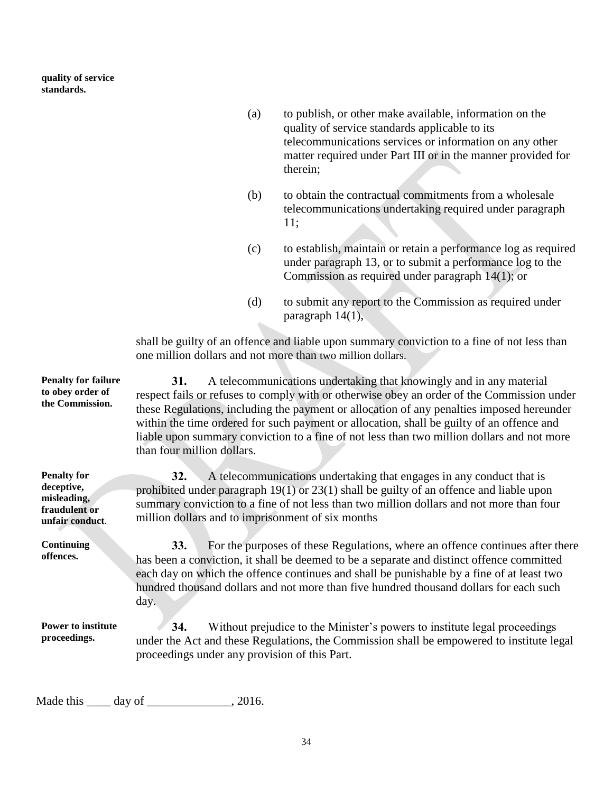**quality of service standards.**

- (a) to publish, or other make available, information on the quality of service standards applicable to its telecommunications services or information on any other matter required under Part III or in the manner provided for therein;
- (b) to obtain the contractual commitments from a wholesale telecommunications undertaking required under paragraph 11;
- (c) to establish, maintain or retain a performance log as required under paragraph 13, or to submit a performance log to the Commission as required under paragraph 14(1); or
- (d) to submit any report to the Commission as required under paragraph 14(1),

shall be guilty of an offence and liable upon summary conviction to a fine of not less than one million dollars and not more than two million dollars.

**Penalty for failure to obey order of the Commission. 31.** A telecommunications undertaking that knowingly and in any material respect fails or refuses to comply with or otherwise obey an order of the Commission under these Regulations, including the payment or allocation of any penalties imposed hereunder within the time ordered for such payment or allocation, shall be guilty of an offence and liable upon summary conviction to a fine of not less than two million dollars and not more than four million dollars. **Penalty for deceptive, misleading, fraudulent or unfair conduct**. **32.** A telecommunications undertaking that engages in any conduct that is prohibited under paragraph 19(1) or 23(1) shall be guilty of an offence and liable upon summary conviction to a fine of not less than two million dollars and not more than four million dollars and to imprisonment of six months **Continuing offences. 33.** For the purposes of these Regulations, where an offence continues after there has been a conviction, it shall be deemed to be a separate and distinct offence committed each day on which the offence continues and shall be punishable by a fine of at least two hundred thousand dollars and not more than five hundred thousand dollars for each such day. **Power to institute proceedings. 34.** Without prejudice to the Minister's powers to institute legal proceedings under the Act and these Regulations, the Commission shall be empowered to institute legal proceedings under any provision of this Part.

Made this \_\_\_\_\_ day of \_\_\_\_\_\_\_\_\_\_\_\_\_, 2016.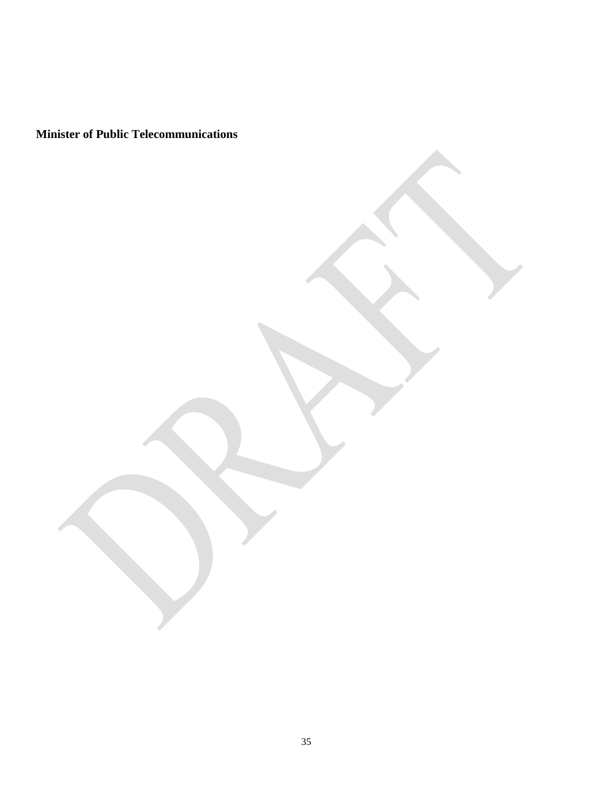**Minister of Public Telecommunications**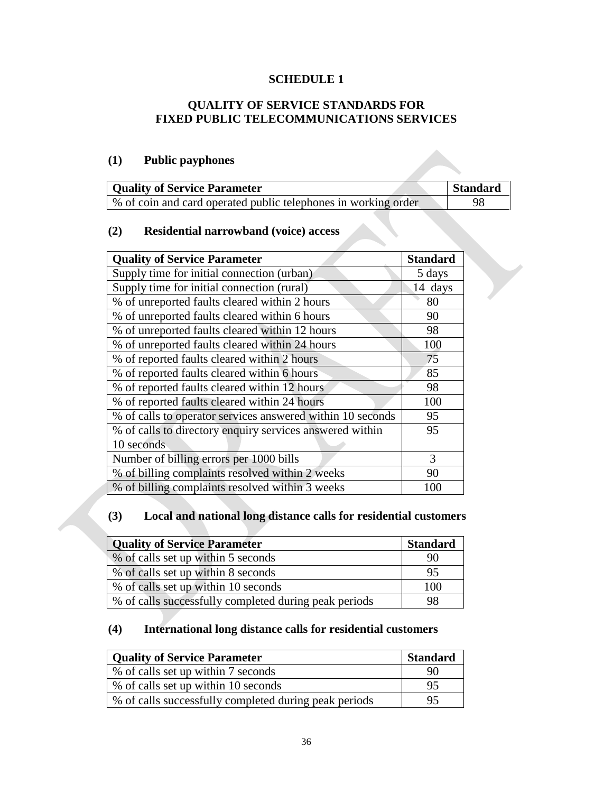## **SCHEDULE 1**

## **QUALITY OF SERVICE STANDARDS FOR FIXED PUBLIC TELECOMMUNICATIONS SERVICES**

## **(1) Public payphones**

| <b>Quality of Service Parameter</b>                            | Standard |
|----------------------------------------------------------------|----------|
| % of coin and card operated public telephones in working order | 98       |

## **(2) Residential narrowband (voice) access**

| <b>Quality of Service Parameter</b>                        | <b>Standard</b> |
|------------------------------------------------------------|-----------------|
| Supply time for initial connection (urban)                 | 5 days          |
| Supply time for initial connection (rural)                 | 14 days         |
| % of unreported faults cleared within 2 hours              | 80              |
| % of unreported faults cleared within 6 hours              | 90              |
| % of unreported faults cleared within 12 hours             | 98              |
| % of unreported faults cleared within 24 hours             | 100             |
| % of reported faults cleared within 2 hours                | 75              |
| % of reported faults cleared within 6 hours                | 85              |
| % of reported faults cleared within 12 hours               | 98              |
| % of reported faults cleared within 24 hours               | 100             |
| % of calls to operator services answered within 10 seconds | 95              |
| % of calls to directory enquiry services answered within   | 95              |
| 10 seconds                                                 |                 |
| Number of billing errors per 1000 bills                    | 3               |
| % of billing complaints resolved within 2 weeks            | 90              |
| % of billing complaints resolved within 3 weeks            | 100             |

## **(3) Local and national long distance calls for residential customers**

| <b>Quality of Service Parameter</b>                   | <b>Standard</b> |
|-------------------------------------------------------|-----------------|
| % of calls set up within 5 seconds                    | 90              |
| % of calls set up within 8 seconds                    | 95              |
| % of calls set up within 10 seconds                   | 100             |
| % of calls successfully completed during peak periods | 98              |

## **(4) International long distance calls for residential customers**

| Quality of Service Parameter                          | <b>Standard</b> |
|-------------------------------------------------------|-----------------|
| % of calls set up within 7 seconds                    | 90              |
| % of calls set up within 10 seconds                   | 95              |
| % of calls successfully completed during peak periods | 95              |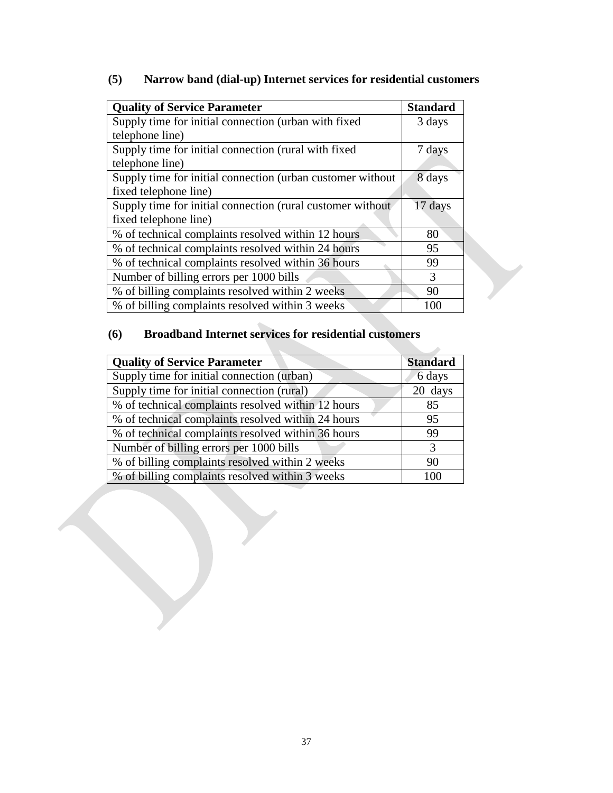# **(5) Narrow band (dial-up) Internet services for residential customers**

| <b>Quality of Service Parameter</b>                        | <b>Standard</b> |
|------------------------------------------------------------|-----------------|
| Supply time for initial connection (urban with fixed       | 3 days          |
| telephone line)                                            |                 |
| Supply time for initial connection (rural with fixed       | 7 days          |
| telephone line)                                            |                 |
| Supply time for initial connection (urban customer without | 8 days          |
| fixed telephone line)                                      |                 |
| Supply time for initial connection (rural customer without | 17 days         |
| fixed telephone line)                                      |                 |
| % of technical complaints resolved within 12 hours         | 80              |
| % of technical complaints resolved within 24 hours         | 95              |
| % of technical complaints resolved within 36 hours         | 99              |
| Number of billing errors per 1000 bills                    | 3               |
| % of billing complaints resolved within 2 weeks            | 90              |
| % of billing complaints resolved within 3 weeks            | 100             |

# **(6) Broadband Internet services for residential customers**

| <b>Quality of Service Parameter</b>                | <b>Standard</b> |
|----------------------------------------------------|-----------------|
| Supply time for initial connection (urban)         | 6 days          |
| Supply time for initial connection (rural)         | 20 days         |
| % of technical complaints resolved within 12 hours | 85              |
| % of technical complaints resolved within 24 hours | 95              |
| % of technical complaints resolved within 36 hours | 99              |
| Number of billing errors per 1000 bills            | 3               |
| % of billing complaints resolved within 2 weeks    | 90              |
| % of billing complaints resolved within 3 weeks    | 100             |